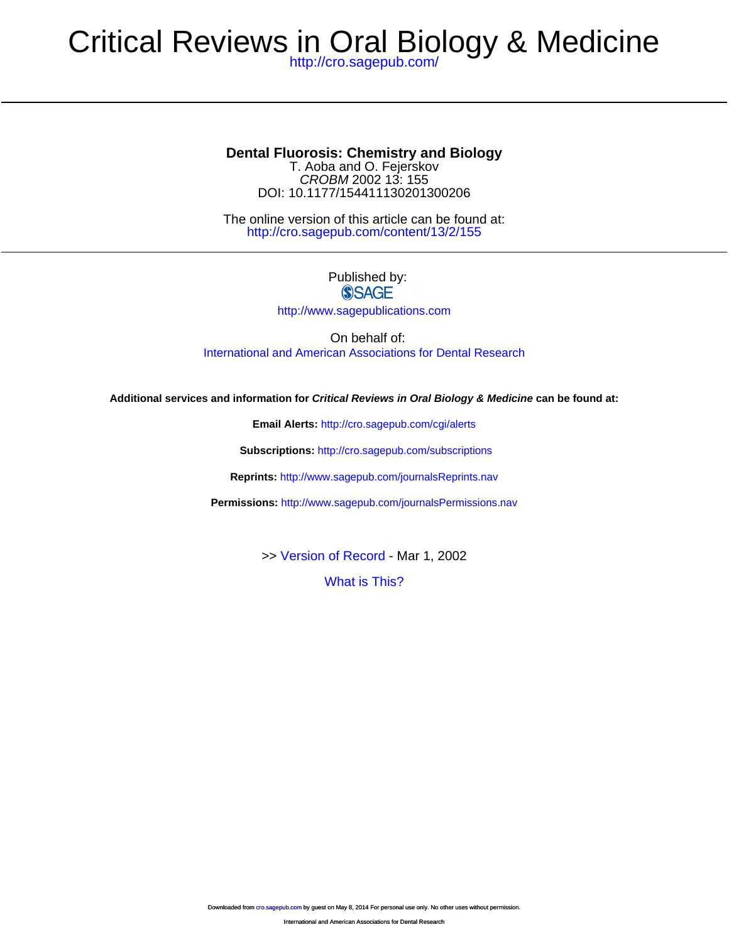# Critical Reviews in Oral Biology & Medicine

<http://cro.sagepub.com/>

DOI: 10.1177/154411130201300206 CROBM 2002 13: 155 T. Aoba and O. Fejerskov **Dental Fluorosis: Chemistry and Biology**

<http://cro.sagepub.com/content/13/2/155> The online version of this article can be found at:

## Published by: **SSAGE**

<http://www.sagepublications.com>

On behalf of: [International and American Associations for Dental Research](http://www.dentalresearch.org/i4a/pages/index.cfm?pageid=3533)

**Additional services and information for Critical Reviews in Oral Biology & Medicine can be found at:**

**Email Alerts:** <http://cro.sagepub.com/cgi/alerts>

**Subscriptions:** <http://cro.sagepub.com/subscriptions>

**Reprints:** <http://www.sagepub.com/journalsReprints.nav>

**Permissions:** <http://www.sagepub.com/journalsPermissions.nav>

>> [Version of Record -](http://cro.sagepub.com/content/13/2/155.full.pdf) Mar 1, 2002

[What is This?](http://online.sagepub.com/site/sphelp/vorhelp.xhtml)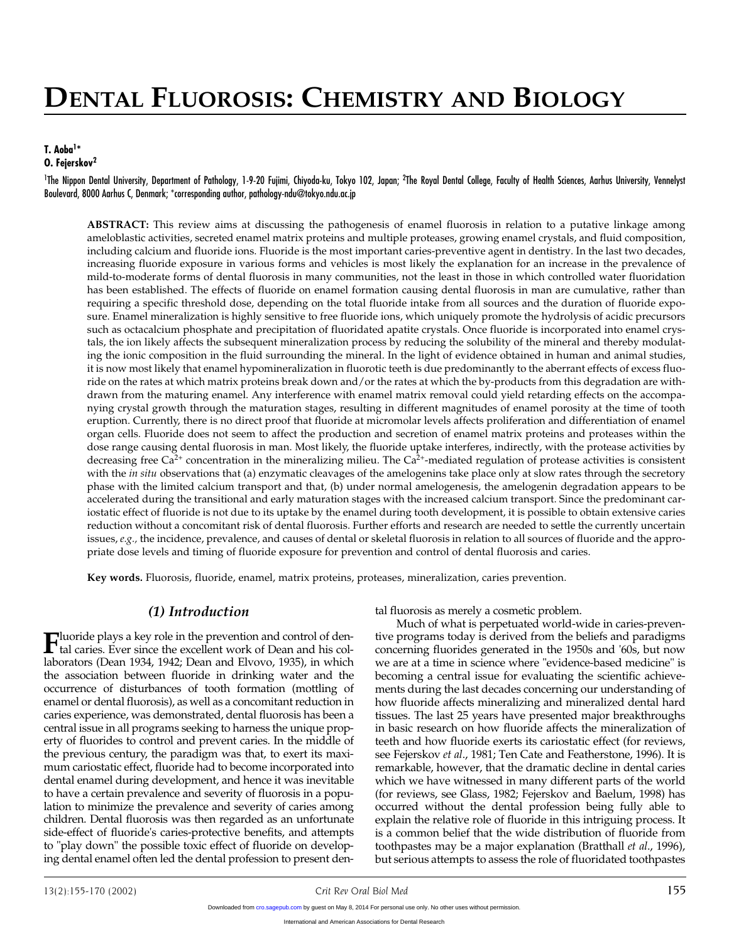#### **T. Aoba 1 \* O. Fejerskov 2**

<sup>1</sup>The Nippon Dental University, Department of Pathology, 1-9-20 Fujimi, Chiyoda-ku, Tokyo 102, Japan; <sup>2</sup>The Royal Dental College, Faculty of Health Sciences, Aarhus University, Vennelyst Boulevard, 8000 Aarhus C, Denmark; \*corresponding author, pathology-ndu@tokyo.ndu.ac.jp

**ABSTRACT:** This review aims at discussing the pathogenesis of enamel fluorosis in relation to a putative linkage among ameloblastic activities, secreted enamel matrix proteins and multiple proteases, growing enamel crystals, and fluid composition, including calcium and fluoride ions. Fluoride is the most important caries-preventive agent in dentistry. In the last two decades, increasing fluoride exposure in various forms and vehicles is most likely the explanation for an increase in the prevalence of mild-to-moderate forms of dental fluorosis in many communities, not the least in those in which controlled water fluoridation has been established. The effects of fluoride on enamel formation causing dental fluorosis in man are cumulative, rather than requiring a specific threshold dose, depending on the total fluoride intake from all sources and the duration of fluoride exposure. Enamel mineralization is highly sensitive to free fluoride ions, which uniquely promote the hydrolysis of acidic precursors such as octacalcium phosphate and precipitation of fluoridated apatite crystals. Once fluoride is incorporated into enamel crystals, the ion likely affects the subsequent mineralization process by reducing the solubility of the mineral and thereby modulating the ionic composition in the fluid surrounding the mineral. In the light of evidence obtained in human and animal studies, it is now most likely that enamel hypomineralization in fluorotic teeth is due predominantly to the aberrant effects of excess fluoride on the rates at which matrix proteins break down and/or the rates at which the by-products from this degradation are withdrawn from the maturing enamel. Any interference with enamel matrix removal could yield retarding effects on the accompanying crystal growth through the maturation stages, resulting in different magnitudes of enamel porosity at the time of tooth eruption. Currently, there is no direct proof that fluoride at micromolar levels affects proliferation and differentiation of enamel organ cells. Fluoride does not seem to affect the production and secretion of enamel matrix proteins and proteases within the dose range causing dental fluorosis in man. Most likely, the fluoride uptake interferes, indirectly, with the protease activities by decreasing free Ca<sup>2+</sup> concentration in the mineralizing milieu. The Ca<sup>2+</sup>-mediated regulation of protease activities is consistent with the *in situ* observations that (a) enzymatic cleavages of the amelogenins take place only at slow rates through the secretory phase with the limited calcium transport and that, (b) under normal amelogenesis, the amelogenin degradation appears to be accelerated during the transitional and early maturation stages with the increased calcium transport. Since the predominant cariostatic effect of fluoride is not due to its uptake by the enamel during tooth development, it is possible to obtain extensive caries reduction without a concomitant risk of dental fluorosis. Further efforts and research are needed to settle the currently uncertain issues, *e.g.*, the incidence, prevalence, and causes of dental or skeletal fluorosis in relation to all sources of fluoride and the appropriate dose levels and timing of fluoride exposure for prevention and control of dental fluorosis and caries.

**Key words.** Fluorosis, fluoride, enamel, matrix proteins, proteases, mineralization, caries prevention.

# *(1) Introduction*

**F** luoride plays a key role in the prevention and control of dental caries. Ever since the excellent work of Dean and his coltal caries. Ever since the excellent work of Dean and his collaborators (Dean 1934, 1942; Dean and Elvovo, 1935), in which the association between fluoride in drinking water and the occurrence of disturbances of tooth formation (mottling of enamel or dental fluorosis), as well as a concomitant reduction in caries experience, was demonstrated, dental fluorosis has been a central issue in all programs seeking to harness the unique property of fluorides to control and prevent caries. In the middle of the previous century, the paradigm was that, to exert its maximum cariostatic effect, fluoride had to become incorporated into dental enamel during development, and hence it was inevitable to have a certain prevalence and severity of fluorosis in a population to minimize the prevalence and severity of caries among children. Dental fluorosis was then regarded as an unfortunate side-effect of fluoride's caries-protective benefits, and attempts to "play down" the possible toxic effect of fluoride on developing dental enamel often led the dental profession to present dental fluorosis as merely a cosmetic problem.

Much of what is perpetuated world-wide in caries-preventive programs today is derived from the beliefs and paradigms concerning fluorides generated in the 1950s and '60s, but now we are at a time in science where "evidence-based medicine" is becoming a central issue for evaluating the scientific achievements during the last decades concerning our understanding of how fluoride affects mineralizing and mineralized dental hard tissues. The last 25 years have presented major breakthroughs in basic research on how fluoride affects the mineralization of teeth and how fluoride exerts its cariostatic effect (for reviews, see Fejerskov *et al*., 1981; Ten Cate and Featherstone, 1996). It is remarkable, however, that the dramatic decline in dental caries which we have witnessed in many different parts of the world (for reviews, see Glass, 1982; Fejerskov and Baelum, 1998) has occurred without the dental profession being fully able to explain the relative role of fluoride in this intriguing process. It is a common belief that the wide distribution of fluoride from toothpastes may be a major explanation (Bratthall *et al*., 1996), but serious attempts to assess the role of fluoridated toothpastes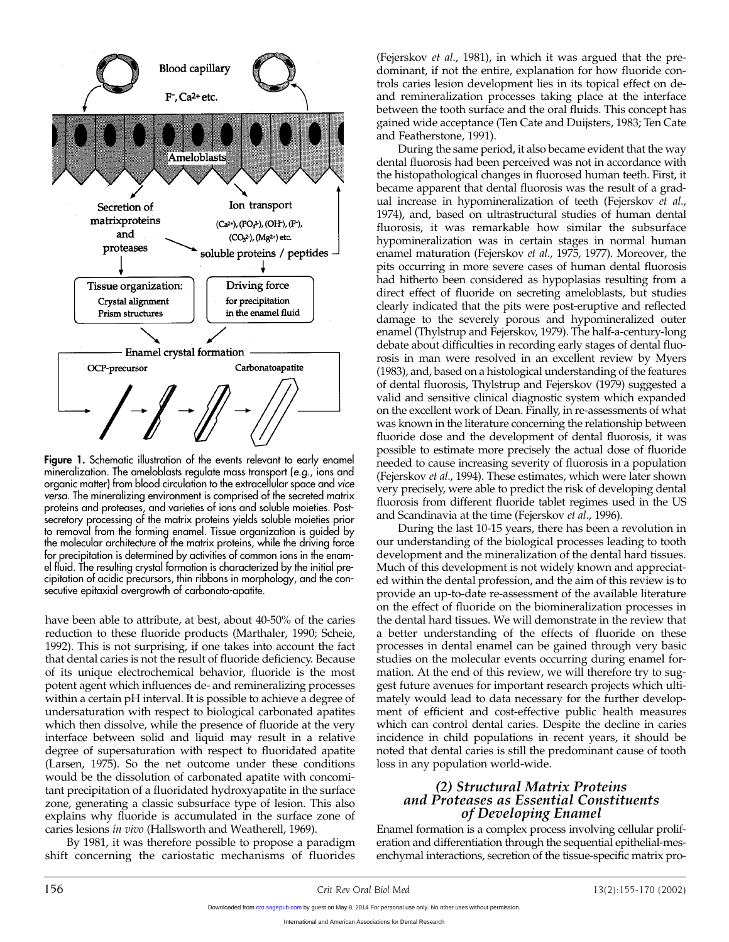

Figure 1. Schematic illustration of the events relevant to early enamel mineralization. The ameloblasts regulate mass transport (*e.g.*, ions and organic matter) from blood circulation to the extracellular space and *vice versa.* The mineralizing environment is comprised of the secreted matrix proteins and proteases, and varieties of ions and soluble moieties. Postsecretory processing of the matrix proteins yields soluble moieties prior to removal from the forming enamel. Tissue organization is guided by the molecular architecture of the matrix proteins, while the driving force for precipitation is determined by activities of common ions in the enamel fluid. The resulting crystal formation is characterized by the initial precipitation of acidic precursors, thin ribbons in morphology, and the consecutive epitaxial overgrowth of carbonato-apatite.

have been able to attribute, at best, about 40-50% of the caries reduction to these fluoride products (Marthaler, 1990; Scheie, 1992). This is not surprising, if one takes into account the fact that dental caries is not the result of fluoride deficiency. Because of its unique electrochemical behavior, fluoride is the most potent agent which influences de- and remineralizing processes within a certain pH interval. It is possible to achieve a degree of undersaturation with respect to biological carbonated apatites which then dissolve, while the presence of fluoride at the very interface between solid and liquid may result in a relative degree of supersaturation with respect to fluoridated apatite (Larsen, 1975). So the net outcome under these conditions would be the dissolution of carbonated apatite with concomitant precipitation of a fluoridated hydroxyapatite in the surface zone, generating a classic subsurface type of lesion. This also explains why fluoride is accumulated in the surface zone of caries lesions *in vivo* (Hallsworth and Weatherell, 1969).

By 1981, it was therefore possible to propose a paradigm shift concerning the cariostatic mechanisms of fluorides (Fejerskov *et al*., 1981), in which it was argued that the predominant, if not the entire, explanation for how fluoride controls caries lesion development lies in its topical effect on deand remineralization processes taking place at the interface between the tooth surface and the oral fluids. This concept has gained wide acceptance (Ten Cate and Duijsters, 1983; Ten Cate and Featherstone, 1991).

During the same period, it also became evident that the way dental fluorosis had been perceived was not in accordance with the histopathological changes in fluorosed human teeth. First, it became apparent that dental fluorosis was the result of a gradual increase in hypomineralization of teeth (Fejerskov *et al*., 1974), and, based on ultrastructural studies of human dental fluorosis, it was remarkable how similar the subsurface hypomineralization was in certain stages in normal human enamel maturation (Fejerskov *et al*., 1975, 1977). Moreover, the pits occurring in more severe cases of human dental fluorosis had hitherto been considered as hypoplasias resulting from a direct effect of fluoride on secreting ameloblasts, but studies clearly indicated that the pits were post-eruptive and reflected damage to the severely porous and hypomineralized outer enamel (Thylstrup and Fejerskov, 1979). The half-a-century-long debate about difficulties in recording early stages of dental fluorosis in man were resolved in an excellent review by Myers (1983), and, based on a histological understanding of the features of dental fluorosis, Thylstrup and Fejerskov (1979) suggested a valid and sensitive clinical diagnostic system which expanded on the excellent work of Dean. Finally, in re-assessments of what was known in the literature concerning the relationship between fluoride dose and the development of dental fluorosis, it was possible to estimate more precisely the actual dose of fluoride needed to cause increasing severity of fluorosis in a population (Fejerskov *et al*., 1994). These estimates, which were later shown very precisely, were able to predict the risk of developing dental fluorosis from different fluoride tablet regimes used in the US and Scandinavia at the time (Fejerskov *et al*., 1996).

During the last 10-15 years, there has been a revolution in our understanding of the biological processes leading to tooth development and the mineralization of the dental hard tissues. Much of this development is not widely known and appreciated within the dental profession, and the aim of this review is to provide an up-to-date re-assessment of the available literature on the effect of fluoride on the biomineralization processes in the dental hard tissues. We will demonstrate in the review that a better understanding of the effects of fluoride on these processes in dental enamel can be gained through very basic studies on the molecular events occurring during enamel formation. At the end of this review, we will therefore try to suggest future avenues for important research projects which ultimately would lead to data necessary for the further development of efficient and cost-effective public health measures which can control dental caries. Despite the decline in caries incidence in child populations in recent years, it should be noted that dental caries is still the predominant cause of tooth loss in any population world-wide.

#### *(2) Structural Matrix Proteins and Proteases as Essential Constituents of Developing Enamel*

Enamel formation is a complex process involving cellular proliferation and differentiation through the sequential epithelial-mesenchymal interactions, secretion of the tissue-specific matrix pro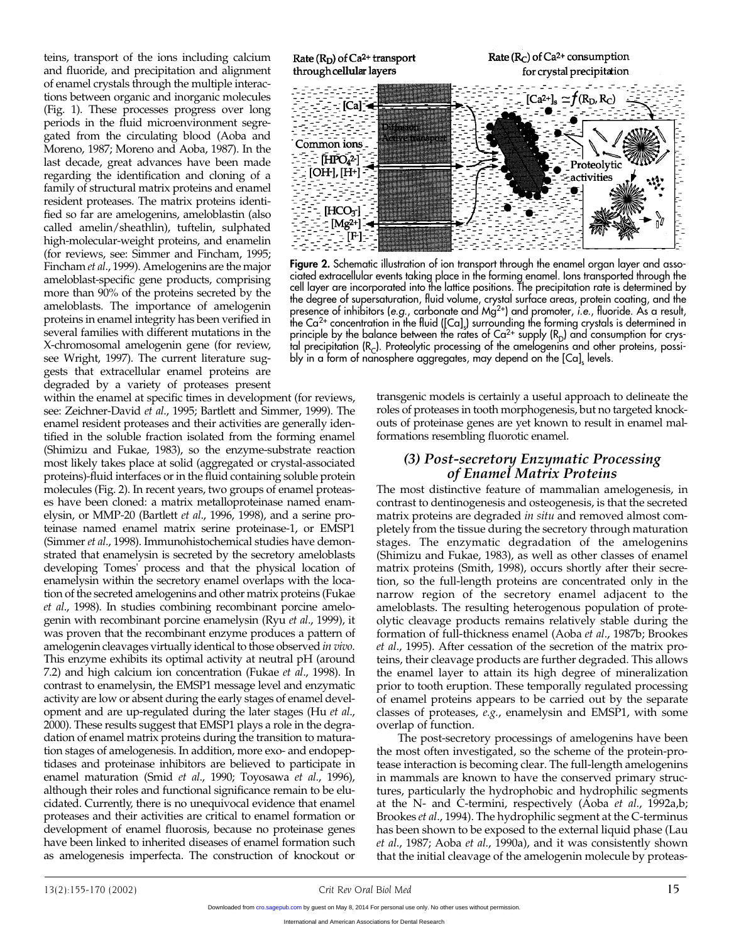teins, transport of the ions including calcium and fluoride, and precipitation and alignment of enamel crystals through the multiple interactions between organic and inorganic molecules (Fig. 1). These processes progress over long periods in the fluid microenvironment segregated from the circulating blood (Aoba and Moreno, 1987; Moreno and Aoba, 1987). In the last decade, great advances have been made regarding the identification and cloning of a family of structural matrix proteins and enamel resident proteases. The matrix proteins identified so far are amelogenins, ameloblastin (also called amelin/sheathlin), tuftelin, sulphated high-molecular-weight proteins, and enamelin (for reviews, see: Simmer and Fincham, 1995; Fincham *et al*., 1999). Amelogenins are the major ameloblast-specific gene products, comprising more than 90% of the proteins secreted by the ameloblasts. The importance of amelogenin proteins in enamel integrity has been verified in several families with different mutations in the X-chromosomal amelogenin gene (for review, see Wright, 1997). The current literature suggests that extracellular enamel proteins are degraded by a variety of proteases present

within the enamel at specific times in development (for reviews, see: Zeichner-David *et al*., 1995; Bartlett and Simmer, 1999). The enamel resident proteases and their activities are generally identified in the soluble fraction isolated from the forming enamel (Shimizu and Fukae, 1983), so the enzyme-substrate reaction most likely takes place at solid (aggregated or crystal-associated proteins)-fluid interfaces or in the fluid containing soluble protein molecules (Fig. 2). In recent years, two groups of enamel proteases have been cloned: a matrix metalloproteinase named enamelysin, or MMP-20 (Bartlett *et al*., 1996, 1998), and a serine proteinase named enamel matrix serine proteinase-1, or EMSP1 (Simmer *et al*., 1998). Immunohistochemical studies have demonstrated that enamelysin is secreted by the secretory ameloblasts developing Tomes' process and that the physical location of enamelysin within the secretory enamel overlaps with the location of the secreted amelogenins and other matrix proteins (Fukae *et al*., 1998). In studies combining recombinant porcine amelogenin with recombinant porcine enamelysin (Ryu *et al*., 1999), it was proven that the recombinant enzyme produces a pattern of amelogenin cleavages virtually identical to those observed *in vivo*. This enzyme exhibits its optimal activity at neutral pH (around 7.2) and high calcium ion concentration (Fukae *et al*., 1998). In contrast to enamelysin, the EMSP1 message level and enzymatic activity are low or absent during the early stages of enamel development and are up-regulated during the later stages (Hu *et al*., 2000). These results suggest that EMSP1 plays a role in the degradation of enamel matrix proteins during the transition to maturation stages of amelogenesis. In addition, more exo- and endopeptidases and proteinase inhibitors are believed to participate in enamel maturation (Smid *et al*., 1990; Toyosawa *et al*., 1996), although their roles and functional significance remain to be elucidated. Currently, there is no unequivocal evidence that enamel proteases and their activities are critical to enamel formation or development of enamel fluorosis, because no proteinase genes have been linked to inherited diseases of enamel formation such as amelogenesis imperfecta. The construction of knockout or



Figure 2. Schematic illustration of ion transport through the enamel organ layer and associated extracellular events taking place in the forming enamel. Ions transported through the cell layer are incorporated into the lattice positions. The precipitation rate is determined by the degree of supersaturation, fluid volume, crystal surface areas, protein coating, and the presence of inhibitors (*e.g.*, carbonate and Mg 2+ ) and promoter, *i.e.*, fluoride. As a result, the Ca<sup>2+</sup> concentration in the fluid ([Ca]<sub>s</sub>) surrounding the forming crystals is determined in principle by the balance between the rates of Ca<sup>2+</sup> supply (R<sub>D</sub>) and consumption for crystal precipitation ( $R_C$ ). Proteolytic processing of the amelogenins and other proteins, possibly in a form of nanosphere aggregates, may depend on the [Ca] $_{\textrm{\tiny{s}}}$  levels.

transgenic models is certainly a useful approach to delineate the roles of proteases in tooth morphogenesis, but no targeted knockouts of proteinase genes are yet known to result in enamel malformations resembling fluorotic enamel.

## *(3) Post-secretory Enzymatic Processing of Enamel Matrix Proteins*

The most distinctive feature of mammalian amelogenesis, in contrast to dentinogenesis and osteogenesis, is that the secreted matrix proteins are degraded *in situ* and removed almost completely from the tissue during the secretory through maturation stages. The enzymatic degradation of the amelogenins (Shimizu and Fukae, 1983), as well as other classes of enamel matrix proteins (Smith, 1998), occurs shortly after their secretion, so the full-length proteins are concentrated only in the narrow region of the secretory enamel adjacent to the ameloblasts. The resulting heterogenous population of proteolytic cleavage products remains relatively stable during the formation of full-thickness enamel (Aoba *et al*., 1987b; Brookes *et al*., 1995). After cessation of the secretion of the matrix proteins, their cleavage products are further degraded. This allows the enamel layer to attain its high degree of mineralization prior to tooth eruption. These temporally regulated processing of enamel proteins appears to be carried out by the separate classes of proteases, *e.g.*, enamelysin and EMSP1, with some overlap of function.

The post-secretory processings of amelogenins have been the most often investigated, so the scheme of the protein-protease interaction is becoming clear. The full-length amelogenins in mammals are known to have the conserved primary structures, particularly the hydrophobic and hydrophilic segments at the N- and C-termini, respectively (Aoba *et al*., 1992a,b; Brookes *et al*., 1994). The hydrophilic segment at the C-terminus has been shown to be exposed to the external liquid phase (Lau *et al*., 1987; Aoba *et al*., 1990a), and it was consistently shown that the initial cleavage of the amelogenin molecule by proteas-

Downloaded from [cro.sagepub.com](http://cro.sagepub.com/) by guest on May 8, 2014 For personal use only. No other uses without permission.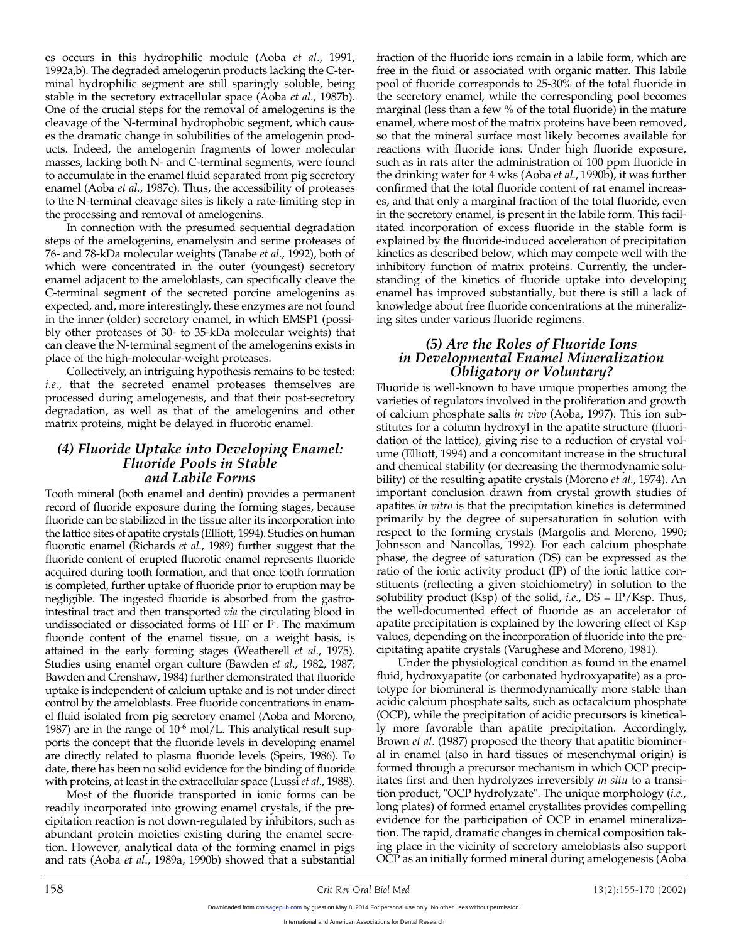es occurs in this hydrophilic module (Aoba *et al*., 1991, 1992a,b). The degraded amelogenin products lacking the C-terminal hydrophilic segment are still sparingly soluble, being stable in the secretory extracellular space (Aoba *et al*., 1987b). One of the crucial steps for the removal of amelogenins is the cleavage of the N-terminal hydrophobic segment, which causes the dramatic change in solubilities of the amelogenin products. Indeed, the amelogenin fragments of lower molecular masses, lacking both N- and C-terminal segments, were found to accumulate in the enamel fluid separated from pig secretory enamel (Aoba *et al*., 1987c). Thus, the accessibility of proteases to the N-terminal cleavage sites is likely a rate-limiting step in the processing and removal of amelogenins.

In connection with the presumed sequential degradation steps of the amelogenins, enamelysin and serine proteases of 76- and 78-kDa molecular weights (Tanabe *et al*., 1992), both of which were concentrated in the outer (youngest) secretory enamel adjacent to the ameloblasts, can specifically cleave the C-terminal segment of the secreted porcine amelogenins as expected, and, more interestingly, these enzymes are not found in the inner (older) secretory enamel, in which EMSP1 (possibly other proteases of 30- to 35-kDa molecular weights) that can cleave the N-terminal segment of the amelogenins exists in place of the high-molecular-weight proteases.

Collectively, an intriguing hypothesis remains to be tested: *i.e.*, that the secreted enamel proteases themselves are processed during amelogenesis, and that their post-secretory degradation, as well as that of the amelogenins and other matrix proteins, might be delayed in fluorotic enamel.

# *(4) Fluoride Uptake into Developing Enamel: Fluoride Pools in Stable and Labile Forms*

Tooth mineral (both enamel and dentin) provides a permanent record of fluoride exposure during the forming stages, because fluoride can be stabilized in the tissue after its incorporation into the lattice sites of apatite crystals (Elliott, 1994). Studies on human fluorotic enamel (Richards *et al*., 1989) further suggest that the fluoride content of erupted fluorotic enamel represents fluoride acquired during tooth formation, and that once tooth formation is completed, further uptake of fluoride prior to eruption may be negligible. The ingested fluoride is absorbed from the gastrointestinal tract and then transported *via* the circulating blood in undissociated or dissociated forms of HF or F. The maximum fluoride content of the enamel tissue, on a weight basis, is attained in the early forming stages (Weatherell *et al*., 1975). Studies using enamel organ culture (Bawden *et al*., 1982, 1987; Bawden and Crenshaw, 1984) further demonstrated that fluoride uptake is independent of calcium uptake and is not under direct control by the ameloblasts. Free fluoride concentrations in enamel fluid isolated from pig secretory enamel (Aoba and Moreno, 1987) are in the range of  $10<sup>-6</sup>$  mol/L. This analytical result supports the concept that the fluoride levels in developing enamel are directly related to plasma fluoride levels (Speirs, 1986). To date, there has been no solid evidence for the binding of fluoride with proteins, at least in the extracellular space (Lussi*et al*., 1988).

Most of the fluoride transported in ionic forms can be readily incorporated into growing enamel crystals, if the precipitation reaction is not down-regulated by inhibitors, such as abundant protein moieties existing during the enamel secretion. However, analytical data of the forming enamel in pigs and rats (Aoba *et al*., 1989a, 1990b) showed that a substantial fraction of the fluoride ions remain in a labile form, which are free in the fluid or associated with organic matter. This labile pool of fluoride corresponds to 25-30% of the total fluoride in the secretory enamel, while the corresponding pool becomes marginal (less than a few % of the total fluoride) in the mature enamel, where most of the matrix proteins have been removed, so that the mineral surface most likely becomes available for reactions with fluoride ions. Under high fluoride exposure, such as in rats after the administration of 100 ppm fluoride in the drinking water for 4 wks (Aoba *et al*., 1990b), it was further confirmed that the total fluoride content of rat enamel increases, and that only a marginal fraction of the total fluoride, even in the secretory enamel, is present in the labile form. This facilitated incorporation of excess fluoride in the stable form is explained by the fluoride-induced acceleration of precipitation kinetics as described below, which may compete well with the inhibitory function of matrix proteins. Currently, the understanding of the kinetics of fluoride uptake into developing enamel has improved substantially, but there is still a lack of knowledge about free fluoride concentrations at the mineralizing sites under various fluoride regimens.

## *(5) Are the Roles of Fluoride Ions in Developmental Enamel Mineralization Obligatory or Voluntary?*

Fluoride is well-known to have unique properties among the varieties of regulators involved in the proliferation and growth of calcium phosphate salts *in vivo* (Aoba, 1997). This ion substitutes for a column hydroxyl in the apatite structure (fluoridation of the lattice), giving rise to a reduction of crystal volume (Elliott, 1994) and a concomitant increase in the structural and chemical stability (or decreasing the thermodynamic solubility) of the resulting apatite crystals (Moreno *et al*., 1974). An important conclusion drawn from crystal growth studies of apatites *in vitro* is that the precipitation kinetics is determined primarily by the degree of supersaturation in solution with respect to the forming crystals (Margolis and Moreno, 1990; Johnsson and Nancollas, 1992). For each calcium phosphate phase, the degree of saturation (DS) can be expressed as the ratio of the ionic activity product (IP) of the ionic lattice constituents (reflecting a given stoichiometry) in solution to the solubility product (Ksp) of the solid, *i.e.*, DS = IP/Ksp. Thus, the well-documented effect of fluoride as an accelerator of apatite precipitation is explained by the lowering effect of Ksp values, depending on the incorporation of fluoride into the precipitating apatite crystals (Varughese and Moreno, 1981).

Under the physiological condition as found in the enamel fluid, hydroxyapatite (or carbonated hydroxyapatite) as a prototype for biomineral is thermodynamically more stable than acidic calcium phosphate salts, such as octacalcium phosphate (OCP), while the precipitation of acidic precursors is kinetically more favorable than apatite precipitation. Accordingly, Brown *et al*. (1987) proposed the theory that apatitic biomineral in enamel (also in hard tissues of mesenchymal origin) is formed through a precursor mechanism in which OCP precipitates first and then hydrolyzes irreversibly *in situ* to a transition product, "OCP hydrolyzate". The unique morphology (*i.e.*, long plates) of formed enamel crystallites provides compelling evidence for the participation of OCP in enamel mineralization. The rapid, dramatic changes in chemical composition taking place in the vicinity of secretory ameloblasts also support OCP as an initially formed mineral during amelogenesis (Aoba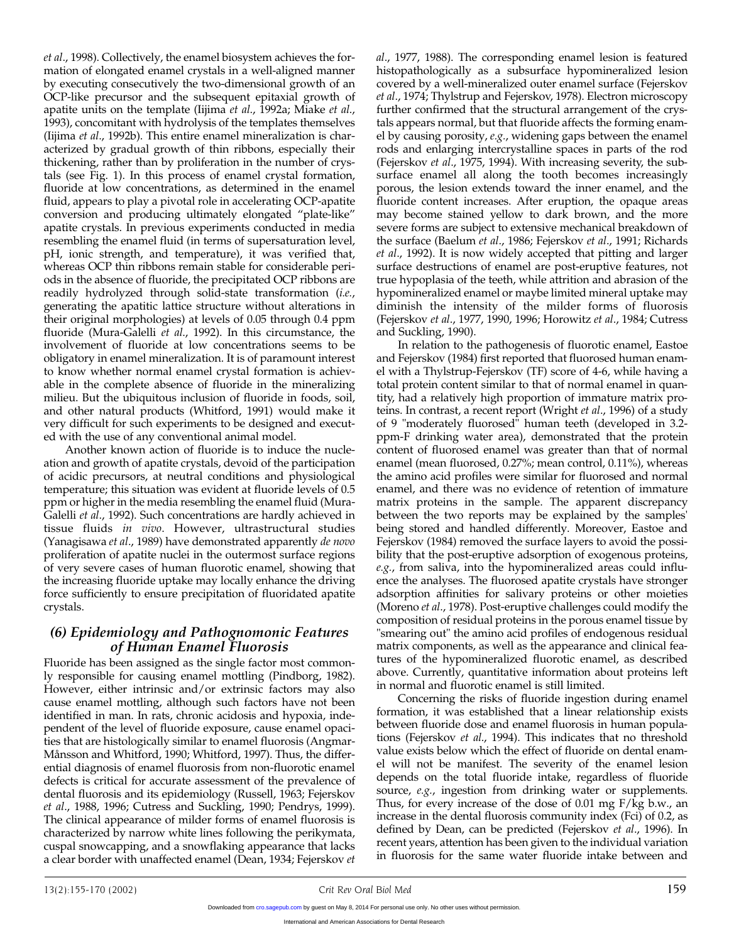*et al*., 1998). Collectively, the enamel biosystem achieves the formation of elongated enamel crystals in a well-aligned manner by executing consecutively the two-dimensional growth of an OCP-like precursor and the subsequent epitaxial growth of apatite units on the template (Iijima *et al*., 1992a; Miake *et al*., 1993), concomitant with hydrolysis of the templates themselves (Iijima *et al*., 1992b). This entire enamel mineralization is characterized by gradual growth of thin ribbons, especially their thickening, rather than by proliferation in the number of crystals (see Fig. 1). In this process of enamel crystal formation, fluoride at low concentrations, as determined in the enamel fluid, appears to play a pivotal role in accelerating OCP-apatite conversion and producing ultimately elongated "plate-like" apatite crystals. In previous experiments conducted in media resembling the enamel fluid (in terms of supersaturation level, pH, ionic strength, and temperature), it was verified that, whereas OCP thin ribbons remain stable for considerable periods in the absence of fluoride, the precipitated OCP ribbons are readily hydrolyzed through solid-state transformation (*i.e.*, generating the apatitic lattice structure without alterations in their original morphologies) at levels of 0.05 through 0.4 ppm fluoride (Mura-Galelli *et al*., 1992). In this circumstance, the involvement of fluoride at low concentrations seems to be obligatory in enamel mineralization. It is of paramount interest to know whether normal enamel crystal formation is achievable in the complete absence of fluoride in the mineralizing milieu. But the ubiquitous inclusion of fluoride in foods, soil, and other natural products (Whitford, 1991) would make it very difficult for such experiments to be designed and executed with the use of any conventional animal model.

Another known action of fluoride is to induce the nucleation and growth of apatite crystals, devoid of the participation of acidic precursors, at neutral conditions and physiological temperature; this situation was evident at fluoride levels of 0.5 ppm or higher in the media resembling the enamel fluid (Mura-Galelli *et al*., 1992). Such concentrations are hardly achieved in tissue fluids *in vivo*. However, ultrastructural studies (Yanagisawa *et al*., 1989) have demonstrated apparently *de novo* proliferation of apatite nuclei in the outermost surface regions of very severe cases of human fluorotic enamel, showing that the increasing fluoride uptake may locally enhance the driving force sufficiently to ensure precipitation of fluoridated apatite crystals.

# *(6) Epidemiology and Pathognomonic Features of Human Enamel Fluorosis*

Fluoride has been assigned as the single factor most commonly responsible for causing enamel mottling (Pindborg, 1982). However, either intrinsic and/or extrinsic factors may also cause enamel mottling, although such factors have not been identified in man. In rats, chronic acidosis and hypoxia, independent of the level of fluoride exposure, cause enamel opacities that are histologically similar to enamel fluorosis (Angmar-Månsson and Whitford, 1990; Whitford, 1997). Thus, the differential diagnosis of enamel fluorosis from non-fluorotic enamel defects is critical for accurate assessment of the prevalence of dental fluorosis and its epidemiology (Russell, 1963; Fejerskov *et al*., 1988, 1996; Cutress and Suckling, 1990; Pendrys, 1999). The clinical appearance of milder forms of enamel fluorosis is characterized by narrow white lines following the perikymata, cuspal snowcapping, and a snowflaking appearance that lacks a clear border with unaffected enamel (Dean, 1934; Fejerskov *et*

*al*., 1977, 1988). The corresponding enamel lesion is featured histopathologically as a subsurface hypomineralized lesion covered by a well-mineralized outer enamel surface (Fejerskov *et al*., 1974; Thylstrup and Fejerskov, 1978). Electron microscopy further confirmed that the structural arrangement of the crystals appears normal, but that fluoride affects the forming enamel by causing porosity, *e.g.*, widening gaps between the enamel rods and enlarging intercrystalline spaces in parts of the rod (Fejerskov *et al*., 1975, 1994). With increasing severity, the subsurface enamel all along the tooth becomes increasingly porous, the lesion extends toward the inner enamel, and the fluoride content increases. After eruption, the opaque areas may become stained yellow to dark brown, and the more severe forms are subject to extensive mechanical breakdown of the surface (Baelum *et al*., 1986; Fejerskov *et al*., 1991; Richards *et al*., 1992). It is now widely accepted that pitting and larger surface destructions of enamel are post-eruptive features, not true hypoplasia of the teeth, while attrition and abrasion of the hypomineralized enamel or maybe limited mineral uptake may diminish the intensity of the milder forms of fluorosis (Fejerskov *et al*., 1977, 1990, 1996; Horowitz *et al*., 1984; Cutress and Suckling, 1990).

In relation to the pathogenesis of fluorotic enamel, Eastoe and Fejerskov (1984) first reported that fluorosed human enamel with a Thylstrup-Fejerskov (TF) score of 4-6, while having a total protein content similar to that of normal enamel in quantity, had a relatively high proportion of immature matrix proteins. In contrast, a recent report (Wright *et al*., 1996) of a study of 9 "moderately fluorosed" human teeth (developed in 3.2 ppm-F drinking water area), demonstrated that the protein content of fluorosed enamel was greater than that of normal enamel (mean fluorosed, 0.27%; mean control, 0.11%), whereas the amino acid profiles were similar for fluorosed and normal enamel, and there was no evidence of retention of immature matrix proteins in the sample. The apparent discrepancy between the two reports may be explained by the samples' being stored and handled differently. Moreover, Eastoe and Fejerskov (1984) removed the surface layers to avoid the possibility that the post-eruptive adsorption of exogenous proteins, *e.g.*, from saliva, into the hypomineralized areas could influence the analyses. The fluorosed apatite crystals have stronger adsorption affinities for salivary proteins or other moieties (Moreno *et al*., 1978). Post-eruptive challenges could modify the composition of residual proteins in the porous enamel tissue by "smearing out" the amino acid profiles of endogenous residual matrix components, as well as the appearance and clinical features of the hypomineralized fluorotic enamel, as described above. Currently, quantitative information about proteins left in normal and fluorotic enamel is still limited.

Concerning the risks of fluoride ingestion during enamel formation, it was established that a linear relationship exists between fluoride dose and enamel fluorosis in human populations (Fejerskov *et al*., 1994). This indicates that no threshold value exists below which the effect of fluoride on dental enamel will not be manifest. The severity of the enamel lesion depends on the total fluoride intake, regardless of fluoride source, *e.g.*, ingestion from drinking water or supplements. Thus, for every increase of the dose of 0.01 mg F/kg b.w., an increase in the dental fluorosis community index (Fci) of 0.2, as defined by Dean, can be predicted (Fejerskov *et al*., 1996). In recent years, attention has been given to the individual variation in fluorosis for the same water fluoride intake between and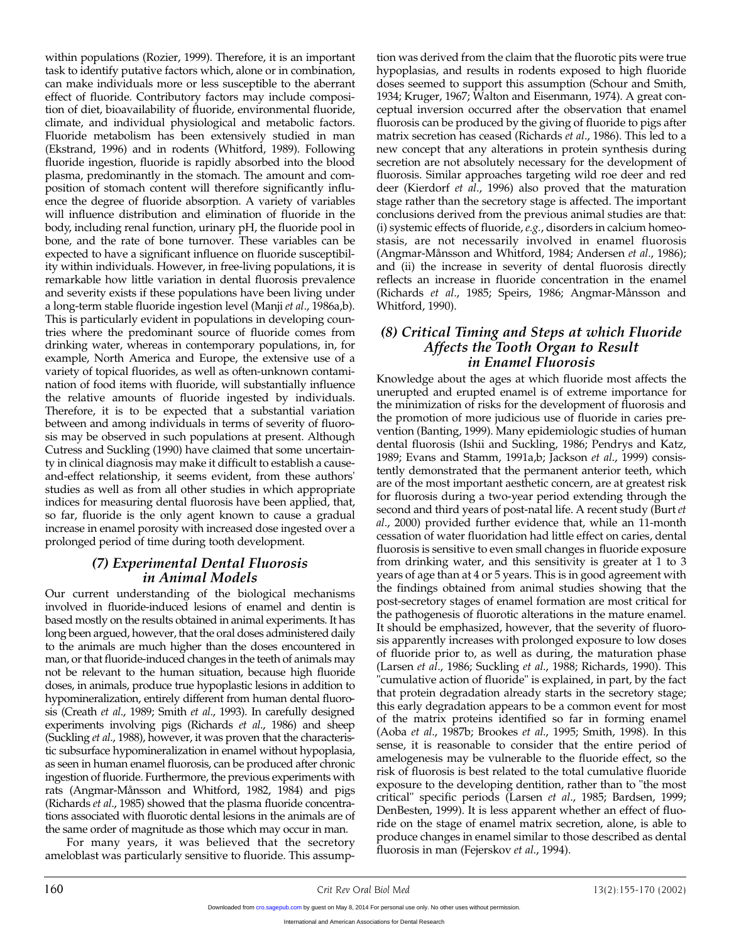within populations (Rozier, 1999). Therefore, it is an important task to identify putative factors which, alone or in combination, can make individuals more or less susceptible to the aberrant effect of fluoride. Contributory factors may include composition of diet, bioavailability of fluoride, environmental fluoride, climate, and individual physiological and metabolic factors. Fluoride metabolism has been extensively studied in man (Ekstrand, 1996) and in rodents (Whitford, 1989). Following fluoride ingestion, fluoride is rapidly absorbed into the blood plasma, predominantly in the stomach. The amount and composition of stomach content will therefore significantly influence the degree of fluoride absorption. A variety of variables will influence distribution and elimination of fluoride in the body, including renal function, urinary pH, the fluoride pool in bone, and the rate of bone turnover. These variables can be expected to have a significant influence on fluoride susceptibility within individuals. However, in free-living populations, it is remarkable how little variation in dental fluorosis prevalence and severity exists if these populations have been living under a long-term stable fluoride ingestion level (Manji *et al*., 1986a,b). This is particularly evident in populations in developing countries where the predominant source of fluoride comes from drinking water, whereas in contemporary populations, in, for example, North America and Europe, the extensive use of a variety of topical fluorides, as well as often-unknown contamination of food items with fluoride, will substantially influence the relative amounts of fluoride ingested by individuals. Therefore, it is to be expected that a substantial variation between and among individuals in terms of severity of fluorosis may be observed in such populations at present. Although Cutress and Suckling (1990) have claimed that some uncertainty in clinical diagnosis may make it difficult to establish a causeand-effect relationship, it seems evident, from these authors' studies as well as from all other studies in which appropriate indices for measuring dental fluorosis have been applied, that, so far, fluoride is the only agent known to cause a gradual increase in enamel porosity with increased dose ingested over a prolonged period of time during tooth development.

# *(7) Experimental Dental Fluorosis in Animal Models*

Our current understanding of the biological mechanisms involved in fluoride-induced lesions of enamel and dentin is based mostly on the results obtained in animal experiments. It has long been argued, however, that the oral doses administered daily to the animals are much higher than the doses encountered in man, or that fluoride-induced changes in the teeth of animals may not be relevant to the human situation, because high fluoride doses, in animals, produce true hypoplastic lesions in addition to hypomineralization, entirely different from human dental fluorosis (Creath *et al*., 1989; Smith *et al*., 1993). In carefully designed experiments involving pigs (Richards *et al*., 1986) and sheep (Suckling *et al*., 1988), however, it was proven that the characteristic subsurface hypomineralization in enamel without hypoplasia, as seen in human enamel fluorosis, can be produced after chronic ingestion of fluoride. Furthermore, the previous experiments with rats (Angmar-Månsson and Whitford, 1982, 1984) and pigs (Richards *et al*., 1985) showed that the plasma fluoride concentrations associated with fluorotic dental lesions in the animals are of the same order of magnitude as those which may occur in man.

For many years, it was believed that the secretory ameloblast was particularly sensitive to fluoride. This assumption was derived from the claim that the fluorotic pits were true hypoplasias, and results in rodents exposed to high fluoride doses seemed to support this assumption (Schour and Smith, 1934; Kruger, 1967; Walton and Eisenmann, 1974). A great conceptual inversion occurred after the observation that enamel fluorosis can be produced by the giving of fluoride to pigs after matrix secretion has ceased (Richards *et al*., 1986). This led to a new concept that any alterations in protein synthesis during secretion are not absolutely necessary for the development of fluorosis. Similar approaches targeting wild roe deer and red deer (Kierdorf *et al*., 1996) also proved that the maturation stage rather than the secretory stage is affected. The important conclusions derived from the previous animal studies are that: (i) systemic effects of fluoride, *e.g.*, disorders in calcium homeostasis, are not necessarily involved in enamel fluorosis (Angmar-Månsson and Whitford, 1984; Andersen *et al*., 1986); and (ii) the increase in severity of dental fluorosis directly reflects an increase in fluoride concentration in the enamel (Richards *et al*., 1985; Speirs, 1986; Angmar-Månsson and Whitford, 1990).

## *(8) Critical Timing and Steps at which Fluoride Affects the Tooth Organ to Result in Enamel Fluorosis*

Knowledge about the ages at which fluoride most affects the unerupted and erupted enamel is of extreme importance for the minimization of risks for the development of fluorosis and the promotion of more judicious use of fluoride in caries prevention (Banting, 1999). Many epidemiologic studies of human dental fluorosis (Ishii and Suckling, 1986; Pendrys and Katz, 1989; Evans and Stamm, 1991a,b; Jackson *et al*., 1999) consistently demonstrated that the permanent anterior teeth, which are of the most important aesthetic concern, are at greatest risk for fluorosis during a two-year period extending through the second and third years of post-natal life. A recent study (Burt *et al*., 2000) provided further evidence that, while an 11-month cessation of water fluoridation had little effect on caries, dental fluorosis is sensitive to even small changes in fluoride exposure from drinking water, and this sensitivity is greater at 1 to 3 years of age than at 4 or 5 years. This is in good agreement with the findings obtained from animal studies showing that the post-secretory stages of enamel formation are most critical for the pathogenesis of fluorotic alterations in the mature enamel. It should be emphasized, however, that the severity of fluorosis apparently increases with prolonged exposure to low doses of fluoride prior to, as well as during, the maturation phase (Larsen *et al*., 1986; Suckling *et al*., 1988; Richards, 1990). This "cumulative action of fluoride" is explained, in part, by the fact that protein degradation already starts in the secretory stage; this early degradation appears to be a common event for most of the matrix proteins identified so far in forming enamel (Aoba *et al*., 1987b; Brookes *et al*., 1995; Smith, 1998). In this sense, it is reasonable to consider that the entire period of amelogenesis may be vulnerable to the fluoride effect, so the risk of fluorosis is best related to the total cumulative fluoride exposure to the developing dentition, rather than to "the most critical" specific periods (Larsen *et al*., 1985; Bardsen, 1999; DenBesten, 1999). It is less apparent whether an effect of fluoride on the stage of enamel matrix secretion, alone, is able to produce changes in enamel similar to those described as dental fluorosis in man (Fejerskov *et al*., 1994).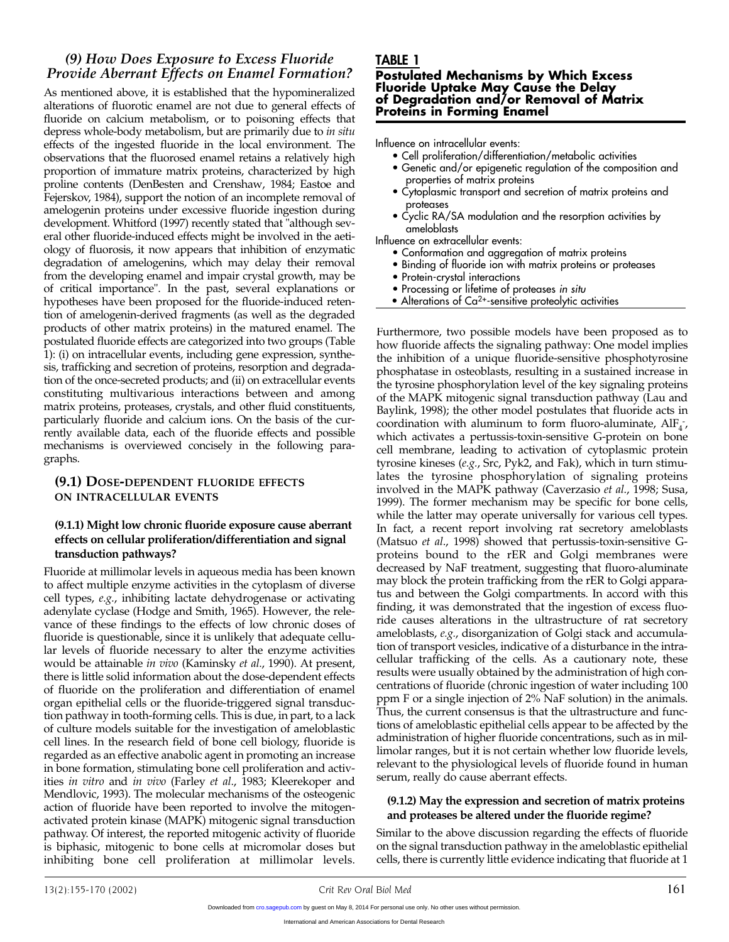## *(9) How Does Exposure to Excess Fluoride Provide Aberrant Effects on Enamel Formation?*

As mentioned above, it is established that the hypomineralized alterations of fluorotic enamel are not due to general effects of fluoride on calcium metabolism, or to poisoning effects that depress whole-body metabolism, but are primarily due to *in situ* effects of the ingested fluoride in the local environment. The observations that the fluorosed enamel retains a relatively high proportion of immature matrix proteins, characterized by high proline contents (DenBesten and Crenshaw, 1984; Eastoe and Fejerskov, 1984), support the notion of an incomplete removal of amelogenin proteins under excessive fluoride ingestion during development. Whitford (1997) recently stated that "although several other fluoride-induced effects might be involved in the aetiology of fluorosis, it now appears that inhibition of enzymatic degradation of amelogenins, which may delay their removal from the developing enamel and impair crystal growth, may be of critical importance". In the past, several explanations or hypotheses have been proposed for the fluoride-induced retention of amelogenin-derived fragments (as well as the degraded products of other matrix proteins) in the matured enamel. The postulated fluoride effects are categorized into two groups (Table 1): (i) on intracellular events, including gene expression, synthesis, trafficking and secretion of proteins, resorption and degradation of the once-secreted products; and (ii) on extracellular events constituting multivarious interactions between and among matrix proteins, proteases, crystals, and other fluid constituents, particularly fluoride and calcium ions. On the basis of the currently available data, each of the fluoride effects and possible mechanisms is overviewed concisely in the following paragraphs.

## **(9.1) DOSE-DEPENDENT FLUORIDE EFFECTS ON INTRACELLULAR EVENTS**

## **(9.1.1) Might low chronic fluoride exposure cause aberrant effects on cellular proliferation/differentiation and signal transduction pathways?**

Fluoride at millimolar levels in aqueous media has been known to affect multiple enzyme activities in the cytoplasm of diverse cell types, *e.g.*, inhibiting lactate dehydrogenase or activating adenylate cyclase (Hodge and Smith, 1965). However, the relevance of these findings to the effects of low chronic doses of fluoride is questionable, since it is unlikely that adequate cellular levels of fluoride necessary to alter the enzyme activities would be attainable *in vivo* (Kaminsky *et al*., 1990). At present, there is little solid information about the dose-dependent effects of fluoride on the proliferation and differentiation of enamel organ epithelial cells or the fluoride-triggered signal transduction pathway in tooth-forming cells. This is due, in part, to a lack of culture models suitable for the investigation of ameloblastic cell lines. In the research field of bone cell biology, fluoride is regarded as an effective anabolic agent in promoting an increase in bone formation, stimulating bone cell proliferation and activities *in vitro* and *in vivo* (Farley *et al*., 1983; Kleerekoper and Mendlovic, 1993). The molecular mechanisms of the osteogenic action of fluoride have been reported to involve the mitogenactivated protein kinase (MAPK) mitogenic signal transduction pathway. Of interest, the reported mitogenic activity of fluoride is biphasic, mitogenic to bone cells at micromolar doses but inhibiting bone cell proliferation at millimolar levels.

# TABLE 1

#### **Postulated Mechanisms by Which Excess Fluoride Uptake May Cause the Delay of Degradation and/or Removal of Matrix Proteins in Forming Enamel**

Influence on intracellular events:

- Cell proliferation/differentiation/metabolic activities
- Genetic and/or epigenetic regulation of the composition and properties of matrix proteins
- Cytoplasmic transport and secretion of matrix proteins and proteases
- Cyclic RA/SA modulation and the resorption activities by ameloblasts

Influence on extracellular events:

- Conformation and aggregation of matrix proteins
- Binding of fluoride ion with matrix proteins or proteases
- Protein-crystal interactions
- Processing or lifetime of proteases *in situ*
- Alterations of  $Ca<sup>2+</sup>$ -sensitive proteolytic activities

Furthermore, two possible models have been proposed as to how fluoride affects the signaling pathway: One model implies the inhibition of a unique fluoride-sensitive phosphotyrosine phosphatase in osteoblasts, resulting in a sustained increase in the tyrosine phosphorylation level of the key signaling proteins of the MAPK mitogenic signal transduction pathway (Lau and Baylink, 1998); the other model postulates that fluoride acts in coordination with aluminum to form fluoro-aluminate,  $AIF_4$ , which activates a pertussis-toxin-sensitive G-protein on bone cell membrane, leading to activation of cytoplasmic protein tyrosine kineses (*e.g.*, Src, Pyk2, and Fak), which in turn stimulates the tyrosine phosphorylation of signaling proteins involved in the MAPK pathway (Caverzasio *et al*., 1998; Susa, 1999). The former mechanism may be specific for bone cells, while the latter may operate universally for various cell types. In fact, a recent report involving rat secretory ameloblasts (Matsuo *et al*., 1998) showed that pertussis-toxin-sensitive Gproteins bound to the rER and Golgi membranes were decreased by NaF treatment, suggesting that fluoro-aluminate may block the protein trafficking from the rER to Golgi apparatus and between the Golgi compartments. In accord with this finding, it was demonstrated that the ingestion of excess fluoride causes alterations in the ultrastructure of rat secretory ameloblasts, *e.g.*, disorganization of Golgi stack and accumulation of transport vesicles, indicative of a disturbance in the intracellular trafficking of the cells. As a cautionary note, these results were usually obtained by the administration of high concentrations of fluoride (chronic ingestion of water including 100 ppm F or a single injection of 2% NaF solution) in the animals. Thus, the current consensus is that the ultrastructure and functions of ameloblastic epithelial cells appear to be affected by the administration of higher fluoride concentrations, such as in millimolar ranges, but it is not certain whether low fluoride levels, relevant to the physiological levels of fluoride found in human serum, really do cause aberrant effects.

#### **(9.1.2) May the expression and secretion of matrix proteins and proteases be altered under the fluoride regime?**

Similar to the above discussion regarding the effects of fluoride on the signal transduction pathway in the ameloblastic epithelial cells, there is currently little evidence indicating that fluoride at 1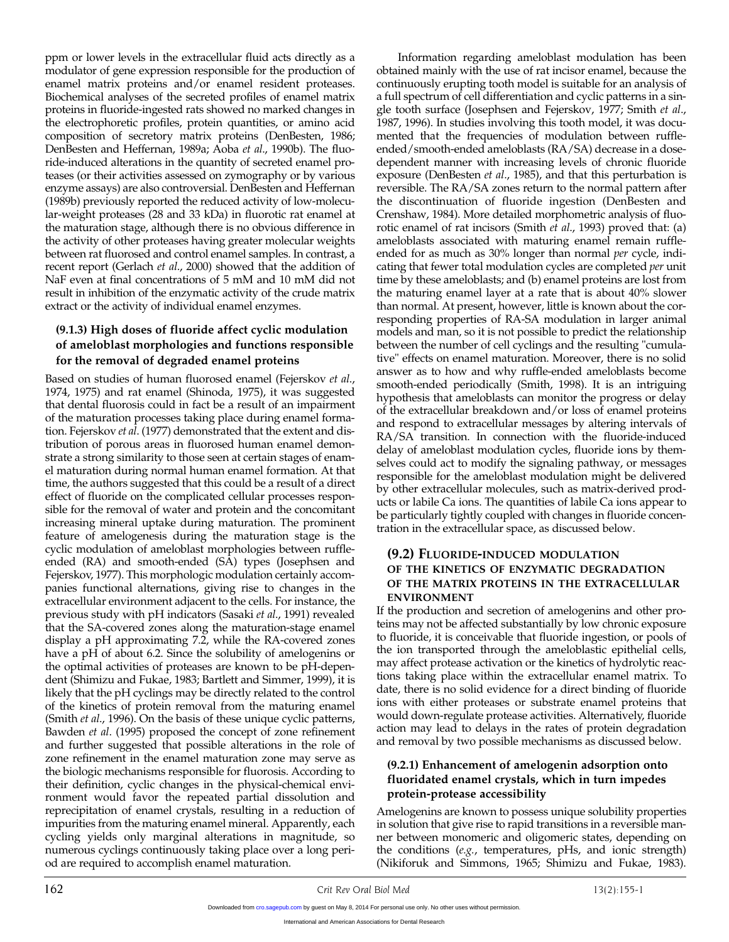ppm or lower levels in the extracellular fluid acts directly as a modulator of gene expression responsible for the production of enamel matrix proteins and/or enamel resident proteases. Biochemical analyses of the secreted profiles of enamel matrix proteins in fluoride-ingested rats showed no marked changes in the electrophoretic profiles, protein quantities, or amino acid composition of secretory matrix proteins (DenBesten, 1986; DenBesten and Heffernan, 1989a; Aoba *et al*., 1990b). The fluoride-induced alterations in the quantity of secreted enamel proteases (or their activities assessed on zymography or by various enzyme assays) are also controversial. DenBesten and Heffernan (1989b) previously reported the reduced activity of low-molecular-weight proteases (28 and 33 kDa) in fluorotic rat enamel at the maturation stage, although there is no obvious difference in the activity of other proteases having greater molecular weights between rat fluorosed and control enamel samples. In contrast, a recent report (Gerlach *et al*., 2000) showed that the addition of NaF even at final concentrations of 5 mM and 10 mM did not result in inhibition of the enzymatic activity of the crude matrix extract or the activity of individual enamel enzymes.

## **(9.1.3) High doses of fluoride affect cyclic modulation of ameloblast morphologies and functions responsible for the removal of degraded enamel proteins**

Based on studies of human fluorosed enamel (Fejerskov *et al*., 1974, 1975) and rat enamel (Shinoda, 1975), it was suggested that dental fluorosis could in fact be a result of an impairment of the maturation processes taking place during enamel formation. Fejerskov *et al*. (1977) demonstrated that the extent and distribution of porous areas in fluorosed human enamel demonstrate a strong similarity to those seen at certain stages of enamel maturation during normal human enamel formation. At that time, the authors suggested that this could be a result of a direct effect of fluoride on the complicated cellular processes responsible for the removal of water and protein and the concomitant increasing mineral uptake during maturation. The prominent feature of amelogenesis during the maturation stage is the cyclic modulation of ameloblast morphologies between ruffleended (RA) and smooth-ended (SA) types (Josephsen and Fejerskov, 1977). This morphologic modulation certainly accompanies functional alternations, giving rise to changes in the extracellular environment adjacent to the cells. For instance, the previous study with pH indicators (Sasaki *et al*., 1991) revealed that the SA-covered zones along the maturation-stage enamel display a pH approximating 7.2, while the RA-covered zones have a pH of about 6.2. Since the solubility of amelogenins or the optimal activities of proteases are known to be pH-dependent (Shimizu and Fukae, 1983; Bartlett and Simmer, 1999), it is likely that the pH cyclings may be directly related to the control of the kinetics of protein removal from the maturing enamel (Smith *et al*., 1996). On the basis of these unique cyclic patterns, Bawden *et al*. (1995) proposed the concept of zone refinement and further suggested that possible alterations in the role of zone refinement in the enamel maturation zone may serve as the biologic mechanisms responsible for fluorosis. According to their definition, cyclic changes in the physical-chemical environment would favor the repeated partial dissolution and reprecipitation of enamel crystals, resulting in a reduction of impurities from the maturing enamel mineral. Apparently, each cycling yields only marginal alterations in magnitude, so numerous cyclings continuously taking place over a long period are required to accomplish enamel maturation.

Information regarding ameloblast modulation has been obtained mainly with the use of rat incisor enamel, because the continuously erupting tooth model is suitable for an analysis of a full spectrum of cell differentiation and cyclic patterns in a single tooth surface (Josephsen and Fejerskov, 1977; Smith *et al*., 1987, 1996). In studies involving this tooth model, it was documented that the frequencies of modulation between ruffleended/smooth-ended ameloblasts (RA/SA) decrease in a dosedependent manner with increasing levels of chronic fluoride exposure (DenBesten *et al*., 1985), and that this perturbation is reversible. The RA/SA zones return to the normal pattern after the discontinuation of fluoride ingestion (DenBesten and Crenshaw, 1984). More detailed morphometric analysis of fluorotic enamel of rat incisors (Smith *et al*., 1993) proved that: (a) ameloblasts associated with maturing enamel remain ruffleended for as much as 30% longer than normal *per* cycle, indicating that fewer total modulation cycles are completed *per* unit time by these ameloblasts; and (b) enamel proteins are lost from the maturing enamel layer at a rate that is about 40% slower than normal. At present, however, little is known about the corresponding properties of RA-SA modulation in larger animal models and man, so it is not possible to predict the relationship between the number of cell cyclings and the resulting "cumulative" effects on enamel maturation. Moreover, there is no solid answer as to how and why ruffle-ended ameloblasts become smooth-ended periodically (Smith, 1998). It is an intriguing hypothesis that ameloblasts can monitor the progress or delay of the extracellular breakdown and/or loss of enamel proteins and respond to extracellular messages by altering intervals of RA/SA transition. In connection with the fluoride-induced delay of ameloblast modulation cycles, fluoride ions by themselves could act to modify the signaling pathway, or messages responsible for the ameloblast modulation might be delivered by other extracellular molecules, such as matrix-derived products or labile Ca ions. The quantities of labile Ca ions appear to be particularly tightly coupled with changes in fluoride concentration in the extracellular space, as discussed below.

## **(9.2) FLUORIDE-INDUCED MODULATION OF THE KINETICS OF ENZYMATIC DEGRADATION OF THE MATRIX PROTEINS IN THE EXTRACELLULAR ENVIRONMENT**

If the production and secretion of amelogenins and other proteins may not be affected substantially by low chronic exposure to fluoride, it is conceivable that fluoride ingestion, or pools of the ion transported through the ameloblastic epithelial cells, may affect protease activation or the kinetics of hydrolytic reactions taking place within the extracellular enamel matrix. To date, there is no solid evidence for a direct binding of fluoride ions with either proteases or substrate enamel proteins that would down-regulate protease activities. Alternatively, fluoride action may lead to delays in the rates of protein degradation and removal by two possible mechanisms as discussed below.

## **(9.2.1) Enhancement of amelogenin adsorption onto fluoridated enamel crystals, which in turn impedes protein-protease accessibility**

Amelogenins are known to possess unique solubility properties in solution that give rise to rapid transitions in a reversible manner between monomeric and oligomeric states, depending on the conditions (*e.g.*, temperatures, pHs, and ionic strength) (Nikiforuk and Simmons, 1965; Shimizu and Fukae, 1983).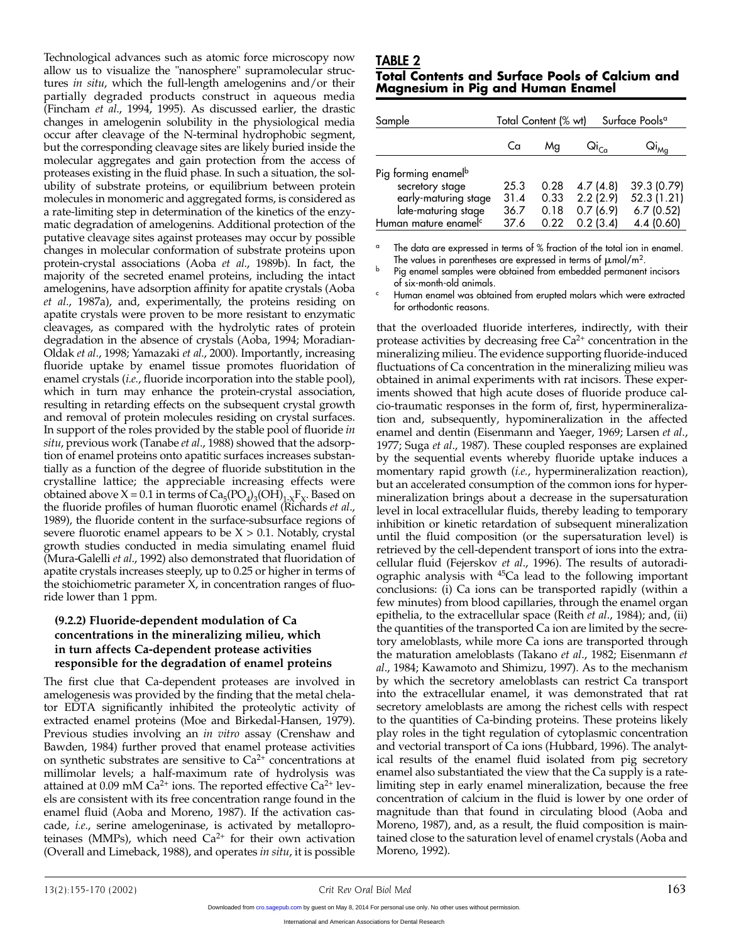Technological advances such as atomic force microscopy now allow us to visualize the "nanosphere" supramolecular structures *in situ*, which the full-length amelogenins and/or their partially degraded products construct in aqueous media (Fincham *et al*., 1994, 1995). As discussed earlier, the drastic changes in amelogenin solubility in the physiological media occur after cleavage of the N-terminal hydrophobic segment, but the corresponding cleavage sites are likely buried inside the molecular aggregates and gain protection from the access of proteases existing in the fluid phase. In such a situation, the solubility of substrate proteins, or equilibrium between protein molecules in monomeric and aggregated forms, is considered as a rate-limiting step in determination of the kinetics of the enzymatic degradation of amelogenins. Additional protection of the putative cleavage sites against proteases may occur by possible changes in molecular conformation of substrate proteins upon protein-crystal associations (Aoba *et al*., 1989b). In fact, the majority of the secreted enamel proteins, including the intact amelogenins, have adsorption affinity for apatite crystals (Aoba *et al*., 1987a), and, experimentally, the proteins residing on apatite crystals were proven to be more resistant to enzymatic cleavages, as compared with the hydrolytic rates of protein degradation in the absence of crystals (Aoba, 1994; Moradian-Oldak *et al*., 1998; Yamazaki *et al*., 2000). Importantly, increasing fluoride uptake by enamel tissue promotes fluoridation of enamel crystals (*i.e.*, fluoride incorporation into the stable pool), which in turn may enhance the protein-crystal association, resulting in retarding effects on the subsequent crystal growth and removal of protein molecules residing on crystal surfaces. In support of the roles provided by the stable pool of fluoride *in situ*, previous work (Tanabe *et al*., 1988) showed that the adsorption of enamel proteins onto apatitic surfaces increases substantially as a function of the degree of fluoride substitution in the crystalline lattice; the appreciable increasing effects were obtained above  $X = 0.1$  in terms of  $Ca_5(PO_4)_3(OH)_{1-X}F_X$ . Based on the fluoride profiles of human fluorotic enamel (Richards *et al*., 1989), the fluoride content in the surface-subsurface regions of severe fluorotic enamel appears to be  $X > 0.1$ . Notably, crystal growth studies conducted in media simulating enamel fluid (Mura-Galelli *et al*., 1992) also demonstrated that fluoridation of apatite crystals increases steeply, up to 0.25 or higher in terms of the stoichiometric parameter X, in concentration ranges of fluoride lower than 1 ppm.

#### **(9.2.2) Fluoride-dependent modulation of Ca concentrations in the mineralizing milieu, which in turn affects Ca-dependent protease activities responsible for the degradation of enamel proteins**

The first clue that Ca-dependent proteases are involved in amelogenesis was provided by the finding that the metal chelator EDTA significantly inhibited the proteolytic activity of extracted enamel proteins (Moe and Birkedal-Hansen, 1979). Previous studies involving an *in vitro* assay (Crenshaw and Bawden, 1984) further proved that enamel protease activities on synthetic substrates are sensitive to  $Ca^{2+}$  concentrations at millimolar levels; a half-maximum rate of hydrolysis was attained at 0.09 mM Ca<sup>2+</sup> ions. The reported effective Ca<sup>2+</sup> levels are consistent with its free concentration range found in the enamel fluid (Aoba and Moreno, 1987). If the activation cascade, *i.e.*, serine amelogeninase, is activated by metalloproteinases (MMPs), which need  $Ca^{2+}$  for their own activation (Overall and Limeback, 1988), and operates *in situ*, it is possible

# TABLE 2

**Total Contents and Surface Pools of Calcium and Magnesium in Pig and Human Enamel**

| Sample                                             | Total Content (% wt) |              |                           | Surface Pools <sup>a</sup> |
|----------------------------------------------------|----------------------|--------------|---------------------------|----------------------------|
|                                                    | Cα                   | Ma           | $\mathsf{Qi}_\mathsf{Ca}$ | $Qi_{Mg}$                  |
| Pig forming enamel <sup>b</sup><br>secretory stage | 25.3                 | 0.28         | 4.7(4.8)                  | 39.3 (0.79)                |
| early-maturing stage<br>late-maturing stage        | 31.4<br>36.7         | 0.33<br>0.18 | 2.2(2.9)<br>0.7(6.9)      | 52.3 (1.21)<br>6.7(0.52)   |
| Human mature enamel <sup>c</sup>                   | 37.6                 | 0.22         | 0.2(3.4)                  | 4.4 (0.60)                 |

The data are expressed in terms of % fraction of the total ion in enamel. The values in parentheses are expressed in terms of  $\mu$ mol/m<sup>2</sup>.

Pig enamel samples were obtained from embedded permanent incisors of six-month-old animals.

Human enamel was obtained from erupted molars which were extracted for orthodontic reasons.

that the overloaded fluoride interferes, indirectly, with their protease activities by decreasing free  $Ca^{2+}$  concentration in the mineralizing milieu. The evidence supporting fluoride-induced fluctuations of Ca concentration in the mineralizing milieu was obtained in animal experiments with rat incisors. These experiments showed that high acute doses of fluoride produce calcio-traumatic responses in the form of, first, hypermineralization and, subsequently, hypomineralization in the affected enamel and dentin (Eisenmann and Yaeger, 1969; Larsen *et al*., 1977; Suga *et al*., 1987). These coupled responses are explained by the sequential events whereby fluoride uptake induces a momentary rapid growth (*i.e.*, hypermineralization reaction), but an accelerated consumption of the common ions for hypermineralization brings about a decrease in the supersaturation level in local extracellular fluids, thereby leading to temporary inhibition or kinetic retardation of subsequent mineralization until the fluid composition (or the supersaturation level) is retrieved by the cell-dependent transport of ions into the extracellular fluid (Fejerskov *et al*., 1996). The results of autoradiographic analysis with <sup>45</sup>Ca lead to the following important conclusions: (i) Ca ions can be transported rapidly (within a few minutes) from blood capillaries, through the enamel organ epithelia, to the extracellular space (Reith *et al*., 1984); and, (ii) the quantities of the transported Ca ion are limited by the secretory ameloblasts, while more Ca ions are transported through the maturation ameloblasts (Takano *et al*., 1982; Eisenmann *et al*., 1984; Kawamoto and Shimizu, 1997). As to the mechanism by which the secretory ameloblasts can restrict Ca transport into the extracellular enamel, it was demonstrated that rat secretory ameloblasts are among the richest cells with respect to the quantities of Ca-binding proteins. These proteins likely play roles in the tight regulation of cytoplasmic concentration and vectorial transport of Ca ions (Hubbard, 1996). The analytical results of the enamel fluid isolated from pig secretory enamel also substantiated the view that the Ca supply is a ratelimiting step in early enamel mineralization, because the free concentration of calcium in the fluid is lower by one order of magnitude than that found in circulating blood (Aoba and Moreno, 1987), and, as a result, the fluid composition is maintained close to the saturation level of enamel crystals (Aoba and Moreno, 1992).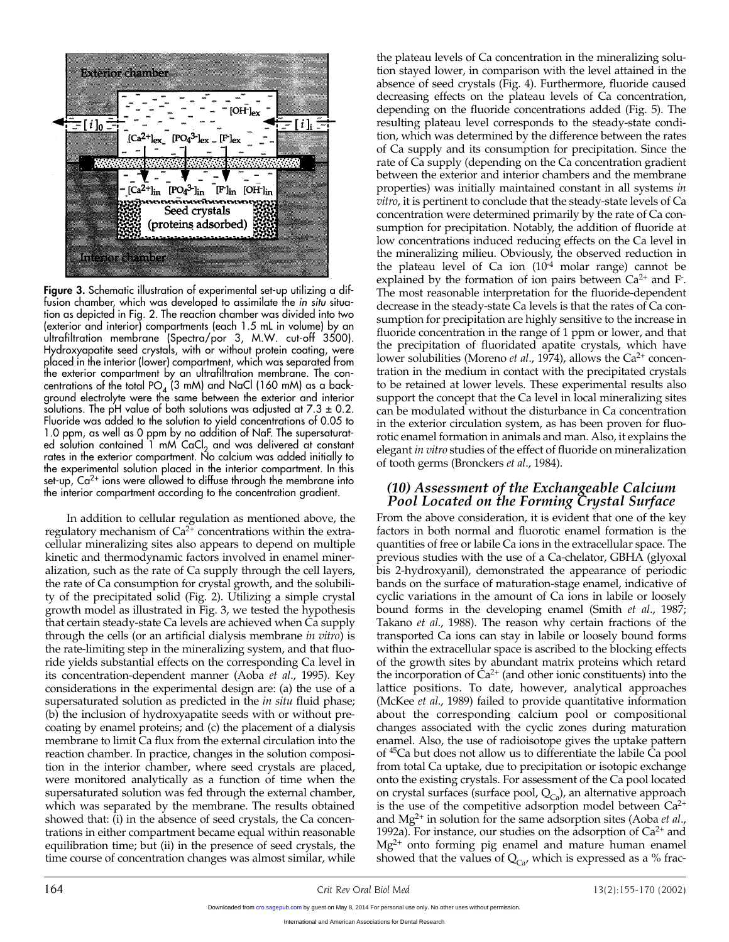

Figure 3. Schematic illustration of experimental set-up utilizing a diffusion chamber, which was developed to assimilate the *in situ* situation as depicted in Fig. 2. The reaction chamber was divided into two (exterior and interior) compartments (each 1.5 mL in volume) by an ultrafiltration membrane (Spectra/por 3, M.W. cut-off 3500). Hydroxyapatite seed crystals, with or without protein coating, were placed in the interior (lower) compartment, which was separated from the exterior compartment by an ultrafiltration membrane. The concentrations of the total PO<sub>4</sub> (3 mM) and NaCl (160 mM) as a background electrolyte were the same between the exterior and interior solutions. The pH value of both solutions was adjusted at  $7.3 \pm 0.2$ . Fluoride was added to the solution to yield concentrations of 0.05 to 1.0 ppm, as well as 0 ppm by no addition of NaF. The supersaturated solution contained 1 mM CaCl<sub>2</sub> and was delivered at constant rates in the exterior compartment. No calcium was added initially to the experimental solution placed in the interior compartment. In this set-up,  $Ca^{2+}$  ions were allowed to diffuse through the membrane into the interior compartment according to the concentration gradient.

In addition to cellular regulation as mentioned above, the regulatory mechanism of  $Ca^{2+}$  concentrations within the extracellular mineralizing sites also appears to depend on multiple kinetic and thermodynamic factors involved in enamel mineralization, such as the rate of Ca supply through the cell layers, the rate of Ca consumption for crystal growth, and the solubility of the precipitated solid (Fig. 2). Utilizing a simple crystal growth model as illustrated in Fig. 3, we tested the hypothesis that certain steady-state Ca levels are achieved when Ca supply through the cells (or an artificial dialysis membrane *in vitro*) is the rate-limiting step in the mineralizing system, and that fluoride yields substantial effects on the corresponding Ca level in its concentration-dependent manner (Aoba *et al*., 1995). Key considerations in the experimental design are: (a) the use of a supersaturated solution as predicted in the *in situ* fluid phase; (b) the inclusion of hydroxyapatite seeds with or without precoating by enamel proteins; and (c) the placement of a dialysis membrane to limit Ca flux from the external circulation into the reaction chamber. In practice, changes in the solution composition in the interior chamber, where seed crystals are placed, were monitored analytically as a function of time when the supersaturated solution was fed through the external chamber, which was separated by the membrane. The results obtained showed that: (i) in the absence of seed crystals, the Ca concentrations in either compartment became equal within reasonable equilibration time; but (ii) in the presence of seed crystals, the time course of concentration changes was almost similar, while the plateau levels of Ca concentration in the mineralizing solution stayed lower, in comparison with the level attained in the absence of seed crystals (Fig. 4). Furthermore, fluoride caused decreasing effects on the plateau levels of Ca concentration, depending on the fluoride concentrations added (Fig. 5). The resulting plateau level corresponds to the steady-state condition, which was determined by the difference between the rates of Ca supply and its consumption for precipitation. Since the rate of Ca supply (depending on the Ca concentration gradient between the exterior and interior chambers and the membrane properties) was initially maintained constant in all systems *in vitro*, it is pertinent to conclude that the steady-state levels of Ca concentration were determined primarily by the rate of Ca consumption for precipitation. Notably, the addition of fluoride at low concentrations induced reducing effects on the Ca level in the mineralizing milieu. Obviously, the observed reduction in the plateau level of Ca ion  $(10<sup>4</sup>$  molar range) cannot be explained by the formation of ion pairs between  $Ca^{2+}$  and F. The most reasonable interpretation for the fluoride-dependent decrease in the steady-state Ca levels is that the rates of Ca consumption for precipitation are highly sensitive to the increase in fluoride concentration in the range of 1 ppm or lower, and that the precipitation of fluoridated apatite crystals, which have lower solubilities (Moreno *et al.*, 1974), allows the Ca<sup>2+</sup> concentration in the medium in contact with the precipitated crystals to be retained at lower levels. These experimental results also support the concept that the Ca level in local mineralizing sites can be modulated without the disturbance in Ca concentration in the exterior circulation system, as has been proven for fluorotic enamel formation in animals and man. Also, it explains the elegant *in vitro* studies of the effect of fluoride on mineralization of tooth germs (Bronckers *et al*., 1984).

### *(10) Assessment of the Exchangeable Calcium Pool Located on the Forming Crystal Surface*

From the above consideration, it is evident that one of the key factors in both normal and fluorotic enamel formation is the quantities of free or labile Ca ions in the extracellular space. The previous studies with the use of a Ca-chelator, GBHA (glyoxal bis 2-hydroxyanil), demonstrated the appearance of periodic bands on the surface of maturation-stage enamel, indicative of cyclic variations in the amount of Ca ions in labile or loosely bound forms in the developing enamel (Smith *et al*., 1987; Takano *et al*., 1988). The reason why certain fractions of the transported Ca ions can stay in labile or loosely bound forms within the extracellular space is ascribed to the blocking effects of the growth sites by abundant matrix proteins which retard the incorporation of  $Ca^{2+}$  (and other ionic constituents) into the lattice positions. To date, however, analytical approaches (McKee *et al*., 1989) failed to provide quantitative information about the corresponding calcium pool or compositional changes associated with the cyclic zones during maturation enamel. Also, the use of radioisotope gives the uptake pattern of <sup>45</sup>Ca but does not allow us to differentiate the labile Ca pool from total Ca uptake, due to precipitation or isotopic exchange onto the existing crystals. For assessment of the Ca pool located on crystal surfaces (surface pool,  $Q_{C_a}$ ), an alternative approach is the use of the competitive adsorption model between Ca<sup>2+</sup> and Mg 2+ in solution for the same adsorption sites (Aoba *et al*., 1992a). For instance, our studies on the adsorption of  $Ca^{2+}$  and Mg<sup>2+</sup> onto forming pig enamel and mature human enamel showed that the values of  $Q_{Ca'}$ , which is expressed as a % frac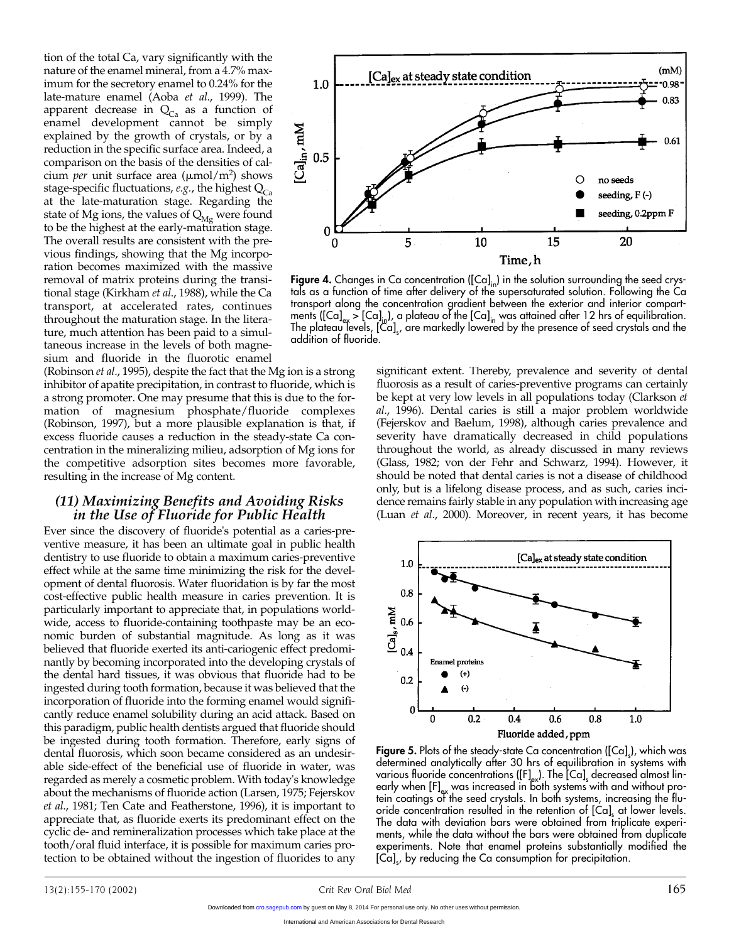tion of the total Ca, vary significantly with the nature of the enamel mineral, from a 4.7% maximum for the secretory enamel to 0.24% for the late-mature enamel (Aoba *et al*., 1999). The apparent decrease in  $Q_{Ca}$  as a function of enamel development cannot be simply explained by the growth of crystals, or by a reduction in the specific surface area. Indeed, a comparison on the basis of the densities of calcium *per* unit surface area (µmol/m<sup>2</sup>) shows stage-specific fluctuations,  $e.g.,$  the highest  $Q_{Ca}$ at the late-maturation stage. Regarding the state of Mg ions, the values of  $Q_{Mg}$  were found to be the highest at the early-maturation stage. The overall results are consistent with the previous findings, showing that the Mg incorporation becomes maximized with the massive removal of matrix proteins during the transitional stage (Kirkham *et al*., 1988), while the Ca transport, at accelerated rates, continues throughout the maturation stage. In the literature, much attention has been paid to a simultaneous increase in the levels of both magnesium and fluoride in the fluorotic enamel

(Robinson *et al*., 1995), despite the fact that the Mg ion is a strong inhibitor of apatite precipitation, in contrast to fluoride, which is a strong promoter. One may presume that this is due to the formation of magnesium phosphate/fluoride complexes (Robinson, 1997), but a more plausible explanation is that, if excess fluoride causes a reduction in the steady-state Ca concentration in the mineralizing milieu, adsorption of Mg ions for the competitive adsorption sites becomes more favorable, resulting in the increase of Mg content.

#### *(11) Maximizing Benefits and Avoiding Risks in the Use of Fluoride for Public Health*

Ever since the discovery of fluoride's potential as a caries-preventive measure, it has been an ultimate goal in public health dentistry to use fluoride to obtain a maximum caries-preventive effect while at the same time minimizing the risk for the development of dental fluorosis. Water fluoridation is by far the most cost-effective public health measure in caries prevention. It is particularly important to appreciate that, in populations worldwide, access to fluoride-containing toothpaste may be an economic burden of substantial magnitude. As long as it was believed that fluoride exerted its anti-cariogenic effect predominantly by becoming incorporated into the developing crystals of the dental hard tissues, it was obvious that fluoride had to be ingested during tooth formation, because it was believed that the incorporation of fluoride into the forming enamel would significantly reduce enamel solubility during an acid attack. Based on this paradigm, public health dentists argued that fluoride should be ingested during tooth formation. Therefore, early signs of dental fluorosis, which soon became considered as an undesirable side-effect of the beneficial use of fluoride in water, was regarded as merely a cosmetic problem. With today's knowledge about the mechanisms of fluoride action (Larsen, 1975; Fejerskov *et al*., 1981; Ten Cate and Featherstone, 1996), it is important to appreciate that, as fluoride exerts its predominant effect on the cyclic de- and remineralization processes which take place at the tooth/oral fluid interface, it is possible for maximum caries protection to be obtained without the ingestion of fluorides to any



**Figure 4.** Changes in Ca concentration ([Ca]<sub>in</sub>) in the solution surrounding the seed crystals as a function of time after delivery of the supersaturated solution. Following the Ca transport along the concentration gradient between the exterior and interior compartments ([Ca]<sub>ex</sub> > [Ca]<sub>in</sub>), a plateau of the [Ca]<sub>in</sub> was attained after 12 hrs of equilibration.<br>— The plateau levels, [Ca] s , are markedly lowered by the presence of seed crystals and the addition of fluoride.

significant extent. Thereby, prevalence and severity of dental fluorosis as a result of caries-preventive programs can certainly be kept at very low levels in all populations today (Clarkson *et al*., 1996). Dental caries is still a major problem worldwide (Fejerskov and Baelum, 1998), although caries prevalence and severity have dramatically decreased in child populations throughout the world, as already discussed in many reviews (Glass, 1982; von der Fehr and Schwarz, 1994). However, it should be noted that dental caries is not a disease of childhood only, but is a lifelong disease process, and as such, caries incidence remains fairly stable in any population with increasing age (Luan *et al*., 2000). Moreover, in recent years, it has become



**Figure 5.** Plots of the steady-state Ca concentration ([Ca]<sub>s</sub>), which was determined analytically after 30 hrs of equilibration in systems with various fluoride concentrations ([F] $_{\rm ex}$ ). The [Ca] $_{\rm s}$  decreased almost linearly when [F]<sub>ex</sub> was increased in both systems with and without pro-<br>tein coatings of the seed crystals. In both systems, increasing the fluoride concentration resulted in the retention of [Ca], at lower levels.<br>-The data with deviation bars were obtained from triplicate experiments, while the data without the bars were obtained from duplicate experiments. Note that enamel proteins substantially modified the [Ca] s , by reducing the Ca consumption for precipitation.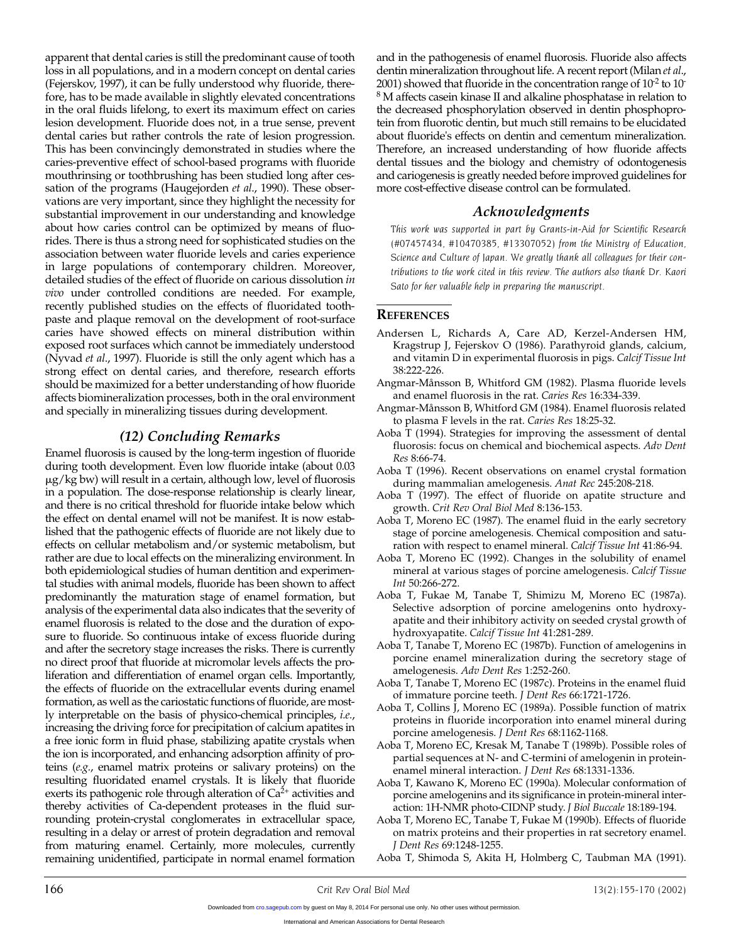apparent that dental caries is still the predominant cause of tooth loss in all populations, and in a modern concept on dental caries (Fejerskov, 1997), it can be fully understood why fluoride, therefore, has to be made available in slightly elevated concentrations in the oral fluids lifelong, to exert its maximum effect on caries lesion development. Fluoride does not, in a true sense, prevent dental caries but rather controls the rate of lesion progression. This has been convincingly demonstrated in studies where the caries-preventive effect of school-based programs with fluoride mouthrinsing or toothbrushing has been studied long after cessation of the programs (Haugejorden *et al*., 1990). These observations are very important, since they highlight the necessity for substantial improvement in our understanding and knowledge about how caries control can be optimized by means of fluorides. There is thus a strong need for sophisticated studies on the association between water fluoride levels and caries experience in large populations of contemporary children. Moreover, detailed studies of the effect of fluoride on carious dissolution *in vivo* under controlled conditions are needed. For example, recently published studies on the effects of fluoridated toothpaste and plaque removal on the development of root-surface caries have showed effects on mineral distribution within exposed root surfaces which cannot be immediately understood (Nyvad *et al*., 1997). Fluoride is still the only agent which has a strong effect on dental caries, and therefore, research efforts should be maximized for a better understanding of how fluoride affects biomineralization processes, both in the oral environment and specially in mineralizing tissues during development.

## *(12) Concluding Remarks*

Enamel fluorosis is caused by the long-term ingestion of fluoride during tooth development. Even low fluoride intake (about 0.03  $\mu$ g/kg bw) will result in a certain, although low, level of fluorosis in a population. The dose-response relationship is clearly linear, and there is no critical threshold for fluoride intake below which the effect on dental enamel will not be manifest. It is now established that the pathogenic effects of fluoride are not likely due to effects on cellular metabolism and/or systemic metabolism, but rather are due to local effects on the mineralizing environment. In both epidemiological studies of human dentition and experimental studies with animal models, fluoride has been shown to affect predominantly the maturation stage of enamel formation, but analysis of the experimental data also indicates that the severity of enamel fluorosis is related to the dose and the duration of exposure to fluoride. So continuous intake of excess fluoride during and after the secretory stage increases the risks. There is currently no direct proof that fluoride at micromolar levels affects the proliferation and differentiation of enamel organ cells. Importantly, the effects of fluoride on the extracellular events during enamel formation, as well as the cariostatic functions of fluoride, are mostly interpretable on the basis of physico-chemical principles, *i.e.*, increasing the driving force for precipitation of calcium apatites in a free ionic form in fluid phase, stabilizing apatite crystals when the ion is incorporated, and enhancing adsorption affinity of proteins (*e.g.*, enamel matrix proteins or salivary proteins) on the resulting fluoridated enamel crystals. It is likely that fluoride exerts its pathogenic role through alteration of Ca<sup>2+</sup> activities and thereby activities of Ca-dependent proteases in the fluid surrounding protein-crystal conglomerates in extracellular space, resulting in a delay or arrest of protein degradation and removal from maturing enamel. Certainly, more molecules, currently remaining unidentified, participate in normal enamel formation and in the pathogenesis of enamel fluorosis. Fluoride also affects dentin mineralization throughout life. A recent report (Milan *et al*., 2001) showed that fluoride in the concentration range of  $10^2$  to  $10^-$ <sup>8</sup> M affects casein kinase II and alkaline phosphatase in relation to the decreased phosphorylation observed in dentin phosphoprotein from fluorotic dentin, but much still remains to be elucidated about fluoride's effects on dentin and cementum mineralization. Therefore, an increased understanding of how fluoride affects dental tissues and the biology and chemistry of odontogenesis and cariogenesis is greatly needed before improved guidelines for more cost-effective disease control can be formulated.

# *Acknowledgments*

*This work was supported in part by Grants-in-Aid for Scientific Research (#07457434, #10470385, #13307052) from the Ministry of Education, Science and Culture of Japan. We greatly thank all colleagues for their contributions to the work cited in this review. The authors also thank Dr. Kaori Sato for her valuable help in preparing the manuscript.*

## **REFERENCES**

- Andersen L, Richards A, Care AD, Kerzel-Andersen HM, Kragstrup J, Fejerskov O (1986). Parathyroid glands, calcium, and vitamin D in experimental fluorosis in pigs. *Calcif Tissue Int* 38:222-226.
- Angmar-Månsson B, Whitford GM (1982). Plasma fluoride levels and enamel fluorosis in the rat. *Caries Res* 16:334-339.
- Angmar-Månsson B, Whitford GM (1984). Enamel fluorosis related to plasma F levels in the rat. *Caries Res* 18:25-32.
- Aoba T (1994). Strategies for improving the assessment of dental fluorosis: focus on chemical and biochemical aspects. *Adv Dent Res* 8:66-74.
- Aoba T (1996). Recent observations on enamel crystal formation during mammalian amelogenesis. *Anat Rec* 245:208-218.
- Aoba T (1997). The effect of fluoride on apatite structure and growth. *Crit Rev Oral Biol Med* 8:136-153.
- Aoba T, Moreno EC (1987). The enamel fluid in the early secretory stage of porcine amelogenesis. Chemical composition and saturation with respect to enamel mineral. *Calcif Tissue Int* 41:86-94.
- Aoba T, Moreno EC (1992). Changes in the solubility of enamel mineral at various stages of porcine amelogenesis. *Calcif Tissue Int* 50:266-272.
- Aoba T, Fukae M, Tanabe T, Shimizu M, Moreno EC (1987a). Selective adsorption of porcine amelogenins onto hydroxyapatite and their inhibitory activity on seeded crystal growth of hydroxyapatite. *Calcif Tissue Int* 41:281-289.
- Aoba T, Tanabe T, Moreno EC (1987b). Function of amelogenins in porcine enamel mineralization during the secretory stage of amelogenesis. *Adv Dent Res* 1:252-260.
- Aoba T, Tanabe T, Moreno EC (1987c). Proteins in the enamel fluid of immature porcine teeth. *J Dent Res* 66:1721-1726.
- Aoba T, Collins J, Moreno EC (1989a). Possible function of matrix proteins in fluoride incorporation into enamel mineral during porcine amelogenesis. *J Dent Res* 68:1162-1168.
- Aoba T, Moreno EC, Kresak M, Tanabe T (1989b). Possible roles of partial sequences at N- and C-termini of amelogenin in proteinenamel mineral interaction. *J Dent Res* 68:1331-1336.
- Aoba T, Kawano K, Moreno EC (1990a). Molecular conformation of porcine amelogenins and its significance in protein-mineral interaction: 1H-NMR photo-CIDNP study. *J Biol Buccale* 18:189-194.
- Aoba T, Moreno EC, Tanabe T, Fukae M (1990b). Effects of fluoride on matrix proteins and their properties in rat secretory enamel. *J Dent Res* 69:1248-1255.
- Aoba T, Shimoda S, Akita H, Holmberg C, Taubman MA (1991).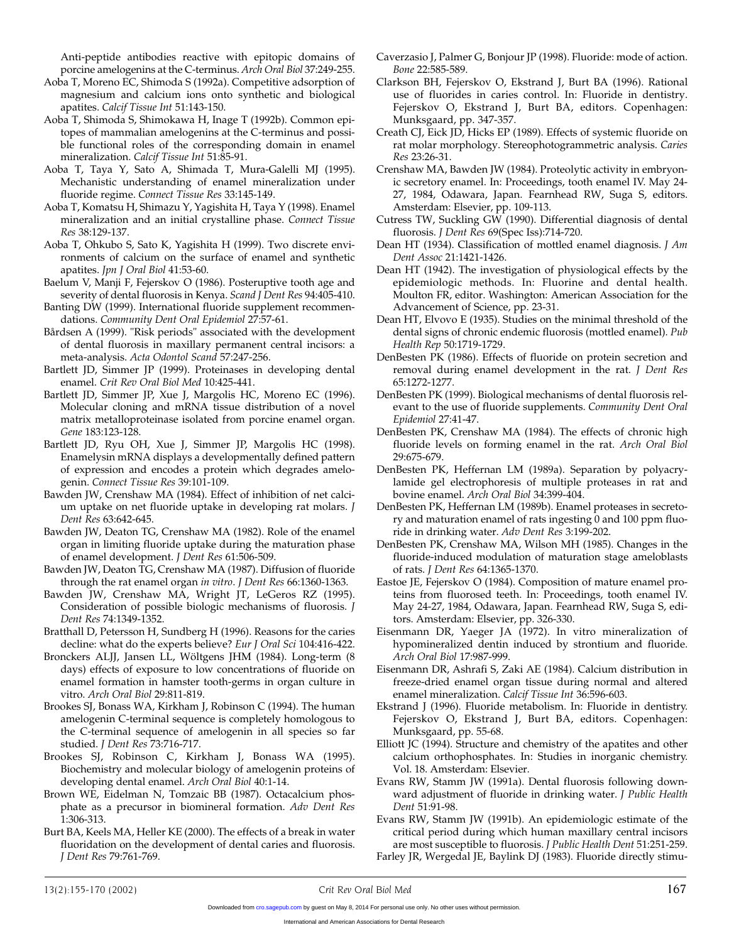Anti-peptide antibodies reactive with epitopic domains of porcine amelogenins at the C-terminus. *Arch Oral Biol* 37:249-255.

- Aoba T, Moreno EC, Shimoda S (1992a). Competitive adsorption of magnesium and calcium ions onto synthetic and biological apatites. *Calcif Tissue Int* 51:143-150.
- Aoba T, Shimoda S, Shimokawa H, Inage T (1992b). Common epitopes of mammalian amelogenins at the C-terminus and possible functional roles of the corresponding domain in enamel mineralization. *Calcif Tissue Int* 51:85-91.
- Aoba T, Taya Y, Sato A, Shimada T, Mura-Galelli MJ (1995). Mechanistic understanding of enamel mineralization under fluoride regime. *Connect Tissue Res* 33:145-149.
- Aoba T, Komatsu H, Shimazu Y, Yagishita H, Taya Y (1998). Enamel mineralization and an initial crystalline phase. *Connect Tissue Res* 38:129-137.
- Aoba T, Ohkubo S, Sato K, Yagishita H (1999). Two discrete environments of calcium on the surface of enamel and synthetic apatites. *Jpn J Oral Biol* 41:53-60.
- Baelum V, Manji F, Fejerskov O (1986). Posteruptive tooth age and severity of dental fluorosis in Kenya. *Scand J Dent Res* 94:405-410.
- Banting DW (1999). International fluoride supplement recommendations. *Community Dent Oral Epidemiol* 27:57-61.
- Bårdsen A (1999). "Risk periods" associated with the development of dental fluorosis in maxillary permanent central incisors: a meta-analysis. *Acta Odontol Scand* 57:247-256.
- Bartlett JD, Simmer JP (1999). Proteinases in developing dental enamel. *Crit Rev Oral Biol Med* 10:425-441.
- Bartlett JD, Simmer JP, Xue J, Margolis HC, Moreno EC (1996). Molecular cloning and mRNA tissue distribution of a novel matrix metalloproteinase isolated from porcine enamel organ. *Gene* 183:123-128.
- Bartlett JD, Ryu OH, Xue J, Simmer JP, Margolis HC (1998). Enamelysin mRNA displays a developmentally defined pattern of expression and encodes a protein which degrades amelogenin. *Connect Tissue Res* 39:101-109.
- Bawden JW, Crenshaw MA (1984). Effect of inhibition of net calcium uptake on net fluoride uptake in developing rat molars. *J Dent Res* 63:642-645.
- Bawden JW, Deaton TG, Crenshaw MA (1982). Role of the enamel organ in limiting fluoride uptake during the maturation phase of enamel development. *J Dent Res* 61:506-509.
- Bawden JW, Deaton TG, Crenshaw MA (1987). Diffusion of fluoride through the rat enamel organ *in vitro*. *J Dent Res* 66:1360-1363.
- Bawden JW, Crenshaw MA, Wright JT, LeGeros RZ (1995). Consideration of possible biologic mechanisms of fluorosis. *J Dent Res* 74:1349-1352.
- Bratthall D, Petersson H, Sundberg H (1996). Reasons for the caries decline: what do the experts believe? *Eur J Oral Sci* 104:416-422.
- Bronckers ALJJ, Jansen LL, Wöltgens JHM (1984). Long-term (8 days) effects of exposure to low concentrations of fluoride on enamel formation in hamster tooth-germs in organ culture in vitro. *Arch Oral Biol* 29:811-819.
- Brookes SJ, Bonass WA, Kirkham J, Robinson C (1994). The human amelogenin C-terminal sequence is completely homologous to the C-terminal sequence of amelogenin in all species so far studied. *J Dent Res* 73:716-717.
- Brookes SJ, Robinson C, Kirkham J, Bonass WA (1995). Biochemistry and molecular biology of amelogenin proteins of developing dental enamel. *Arch Oral Biol* 40:1-14.
- Brown WE, Eidelman N, Tomzaic BB (1987). Octacalcium phosphate as a precursor in biomineral formation. *Adv Dent Res* 1:306-313.
- Burt BA, Keels MA, Heller KE (2000). The effects of a break in water fluoridation on the development of dental caries and fluorosis. *J Dent Res* 79:761-769.
- Caverzasio J, Palmer G, Bonjour JP (1998). Fluoride: mode of action. *Bone* 22:585-589.
- Clarkson BH, Fejerskov O, Ekstrand J, Burt BA (1996). Rational use of fluorides in caries control. In: Fluoride in dentistry. Fejerskov O, Ekstrand J, Burt BA, editors. Copenhagen: Munksgaard, pp. 347-357.
- Creath CJ, Eick JD, Hicks EP (1989). Effects of systemic fluoride on rat molar morphology. Stereophotogrammetric analysis. *Caries Res* 23:26-31.
- Crenshaw MA, Bawden JW (1984). Proteolytic activity in embryonic secretory enamel. In: Proceedings, tooth enamel IV. May 24- 27, 1984, Odawara, Japan. Fearnhead RW, Suga S, editors. Amsterdam: Elsevier, pp. 109-113.
- Cutress TW, Suckling GW (1990). Differential diagnosis of dental fluorosis. *J Dent Res* 69(Spec Iss):714-720.
- Dean HT (1934). Classification of mottled enamel diagnosis. *J Am Dent Assoc* 21:1421-1426.
- Dean HT (1942). The investigation of physiological effects by the epidemiologic methods. In: Fluorine and dental health. Moulton FR, editor. Washington: American Association for the Advancement of Science, pp. 23-31.
- Dean HT, Elvovo E (1935). Studies on the minimal threshold of the dental signs of chronic endemic fluorosis (mottled enamel). *Pub Health Rep* 50:1719-1729.
- DenBesten PK (1986). Effects of fluoride on protein secretion and removal during enamel development in the rat. *J Dent Res* 65:1272-1277.
- DenBesten PK (1999). Biological mechanisms of dental fluorosis relevant to the use of fluoride supplements. *Community Dent Oral Epidemiol* 27:41-47.
- DenBesten PK, Crenshaw MA (1984). The effects of chronic high fluoride levels on forming enamel in the rat. *Arch Oral Biol* 29:675-679.
- DenBesten PK, Heffernan LM (1989a). Separation by polyacrylamide gel electrophoresis of multiple proteases in rat and bovine enamel. *Arch Oral Biol* 34:399-404.
- DenBesten PK, Heffernan LM (1989b). Enamel proteases in secretory and maturation enamel of rats ingesting 0 and 100 ppm fluoride in drinking water. *Adv Dent Res* 3:199-202.
- DenBesten PK, Crenshaw MA, Wilson MH (1985). Changes in the fluoride-induced modulation of maturation stage ameloblasts of rats. *J Dent Res* 64:1365-1370.
- Eastoe JE, Fejerskov O (1984). Composition of mature enamel proteins from fluorosed teeth. In: Proceedings, tooth enamel IV. May 24-27, 1984, Odawara, Japan. Fearnhead RW, Suga S, editors. Amsterdam: Elsevier, pp. 326-330.
- Eisenmann DR, Yaeger JA (1972). In vitro mineralization of hypomineralized dentin induced by strontium and fluoride. *Arch Oral Biol* 17:987-999.
- Eisenmann DR, Ashrafi S, Zaki AE (1984). Calcium distribution in freeze-dried enamel organ tissue during normal and altered enamel mineralization. *Calcif Tissue Int* 36:596-603.
- Ekstrand J (1996). Fluoride metabolism. In: Fluoride in dentistry. Fejerskov O, Ekstrand J, Burt BA, editors. Copenhagen: Munksgaard, pp. 55-68.
- Elliott JC (1994). Structure and chemistry of the apatites and other calcium orthophosphates. In: Studies in inorganic chemistry. Vol. 18. Amsterdam: Elsevier.
- Evans RW, Stamm JW (1991a). Dental fluorosis following downward adjustment of fluoride in drinking water. *J Public Health Dent* 51:91-98.
- Evans RW, Stamm JW (1991b). An epidemiologic estimate of the critical period during which human maxillary central incisors are most susceptible to fluorosis. *J Public Health Dent* 51:251-259.
- Farley JR, Wergedal JE, Baylink DJ (1983). Fluoride directly stimu-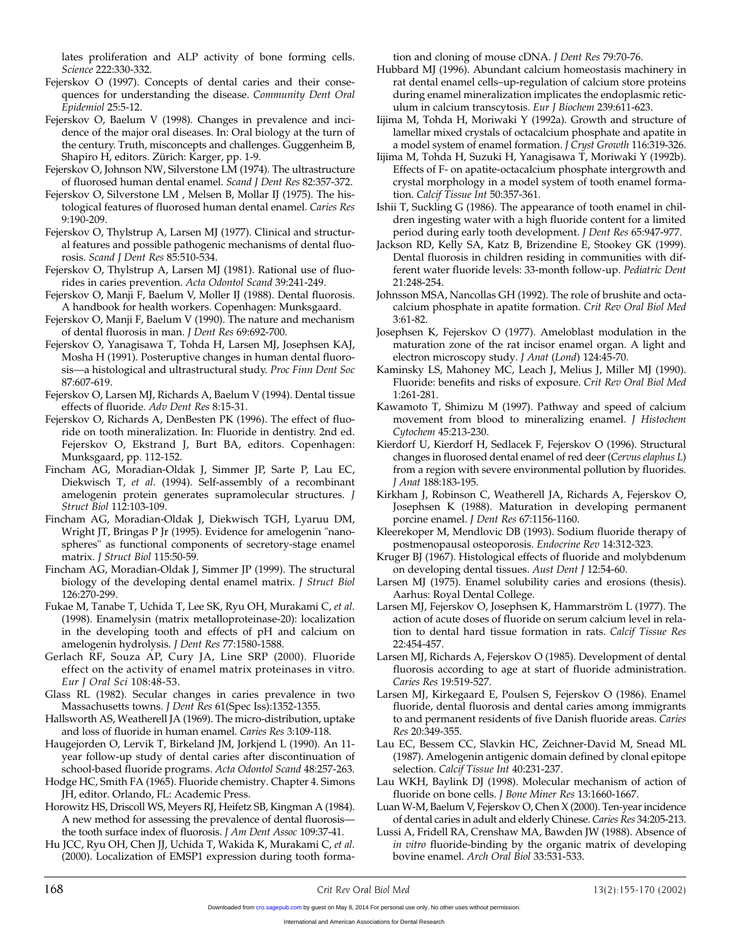lates proliferation and ALP activity of bone forming cells. *Science* 222:330-332.

Fejerskov O (1997). Concepts of dental caries and their consequences for understanding the disease. *Community Dent Oral Epidemiol* 25:5-12.

Fejerskov O, Baelum V (1998). Changes in prevalence and incidence of the major oral diseases. In: Oral biology at the turn of the century. Truth, misconcepts and challenges. Guggenheim B, Shapiro H, editors. Zürich: Karger, pp. 1-9.

Fejerskov O, Johnson NW, Silverstone LM (1974). The ultrastructure of fluorosed human dental enamel. *Scand J Dent Res* 82:357-372.

Fejerskov O, Silverstone LM , Melsen B, Mollar IJ (1975). The histological features of fluorosed human dental enamel. *Caries Res* 9:190-209.

Fejerskov O, Thylstrup A, Larsen MJ (1977). Clinical and structural features and possible pathogenic mechanisms of dental fluorosis. *Scand J Dent Res* 85:510-534.

Fejerskov O, Thylstrup A, Larsen MJ (1981). Rational use of fluorides in caries prevention. *Acta Odontol Scand* 39:241-249.

Fejerskov O, Manji F, Baelum V, Moller IJ (1988). Dental fluorosis. A handbook for health workers. Copenhagen: Munksgaard.

Fejerskov O, Manji F, Baelum V (1990). The nature and mechanism of dental fluorosis in man. *J Dent Res* 69:692-700.

Fejerskov O, Yanagisawa T, Tohda H, Larsen MJ, Josephsen KAJ, Mosha H (1991). Posteruptive changes in human dental fluorosis—a histological and ultrastructural study. *Proc Finn Dent Soc* 87:607-619.

Fejerskov O, Larsen MJ, Richards A, Baelum V (1994). Dental tissue effects of fluoride. *Adv Dent Res* 8:15-31.

Fejerskov O, Richards A, DenBesten PK (1996). The effect of fluoride on tooth mineralization. In: Fluoride in dentistry. 2nd ed. Fejerskov O, Ekstrand J, Burt BA, editors. Copenhagen: Munksgaard, pp. 112-152.

Fincham AG, Moradian-Oldak J, Simmer JP, Sarte P, Lau EC, Diekwisch T, *et al*. (1994). Self-assembly of a recombinant amelogenin protein generates supramolecular structures. *J Struct Biol* 112:103-109.

Fincham AG, Moradian-Oldak J, Diekwisch TGH, Lyaruu DM, Wright JT, Bringas P Jr (1995). Evidence for amelogenin "nanospheres" as functional components of secretory-stage enamel matrix. *J Struct Biol* 115:50-59.

Fincham AG, Moradian-Oldak J, Simmer JP (1999). The structural biology of the developing dental enamel matrix. *J Struct Biol* 126:270-299.

Fukae M, Tanabe T, Uchida T, Lee SK, Ryu OH, Murakami C, *et al*. (1998). Enamelysin (matrix metalloproteinase-20): localization in the developing tooth and effects of pH and calcium on amelogenin hydrolysis. *J Dent Res* 77:1580-1588.

Gerlach RF, Souza AP, Cury JA, Line SRP (2000). Fluoride effect on the activity of enamel matrix proteinases in vitro. *Eur J Oral Sci* 108:48-53.

Glass RL (1982). Secular changes in caries prevalence in two Massachusetts towns. *J Dent Res* 61(Spec Iss):1352-1355.

Hallsworth AS, Weatherell JA (1969). The micro-distribution, uptake and loss of fluoride in human enamel. *Caries Res* 3:109-118.

Haugejorden O, Lervik T, Birkeland JM, Jorkjend L (1990). An 11 year follow-up study of dental caries after discontinuation of school-based fluoride programs. *Acta Odontol Scand* 48:257-263.

Hodge HC, Smith FA (1965). Fluoride chemistry. Chapter 4. Simons JH, editor. Orlando, FL: Academic Press.

Horowitz HS, Driscoll WS, Meyers RJ, Heifetz SB, Kingman A (1984). A new method for assessing the prevalence of dental fluorosis the tooth surface index of fluorosis. *J Am Dent Assoc* 109:37-41.

Hu JCC, Ryu OH, Chen JJ, Uchida T, Wakida K, Murakami C, *et al*. (2000). Localization of EMSP1 expression during tooth formation and cloning of mouse cDNA. *J Dent Res* 79:70-76.

Hubbard MJ (1996). Abundant calcium homeostasis machinery in rat dental enamel cells–up-regulation of calcium store proteins during enamel mineralization implicates the endoplasmic reticulum in calcium transcytosis. *Eur J Biochem* 239:611-623.

Iijima M, Tohda H, Moriwaki Y (1992a). Growth and structure of lamellar mixed crystals of octacalcium phosphate and apatite in a model system of enamel formation. *J Cryst Growth* 116:319-326.

Iijima M, Tohda H, Suzuki H, Yanagisawa T, Moriwaki Y (1992b). Effects of F- on apatite-octacalcium phosphate intergrowth and crystal morphology in a model system of tooth enamel formation. *Calcif Tissue Int* 50:357-361.

Ishii T, Suckling G (1986). The appearance of tooth enamel in children ingesting water with a high fluoride content for a limited period during early tooth development. *J Dent Res* 65:947-977.

Jackson RD, Kelly SA, Katz B, Brizendine E, Stookey GK (1999). Dental fluorosis in children residing in communities with different water fluoride levels: 33-month follow-up. *Pediatric Dent* 21:248-254.

Johnsson MSA, Nancollas GH (1992). The role of brushite and octacalcium phosphate in apatite formation. *Crit Rev Oral Biol Med* 3:61-82.

Josephsen K, Fejerskov O (1977). Ameloblast modulation in the maturation zone of the rat incisor enamel organ. A light and electron microscopy study. *J Anat* (*Lond*) 124:45-70.

Kaminsky LS, Mahoney MC, Leach J, Melius J, Miller MJ (1990). Fluoride: benefits and risks of exposure. *Crit Rev Oral Biol Med* 1:261-281.

Kawamoto T, Shimizu M (1997). Pathway and speed of calcium movement from blood to mineralizing enamel. *J Histochem Cytochem* 45:213-230.

Kierdorf U, Kierdorf H, Sedlacek F, Fejerskov O (1996). Structural changes in fluorosed dental enamel of red deer (*Cervus elaphus L*) from a region with severe environmental pollution by fluorides. *J Anat* 188:183-195.

Kirkham J, Robinson C, Weatherell JA, Richards A, Fejerskov O, Josephsen K (1988). Maturation in developing permanent porcine enamel. *J Dent Res* 67:1156-1160.

Kleerekoper M, Mendlovic DB (1993). Sodium fluoride therapy of postmenopausal osteoporosis. *Endocrine Rev* 14:312-323.

Kruger BJ (1967). Histological effects of fluoride and molybdenum on developing dental tissues. *Aust Dent J* 12:54-60.

Larsen MJ (1975). Enamel solubility caries and erosions (thesis). Aarhus: Royal Dental College.

Larsen MJ, Fejerskov O, Josephsen K, Hammarström L (1977). The action of acute doses of fluoride on serum calcium level in relation to dental hard tissue formation in rats. *Calcif Tissue Res* 22:454-457.

Larsen MJ, Richards A, Fejerskov O (1985). Development of dental fluorosis according to age at start of fluoride administration. *Caries Res* 19:519-527.

Larsen MJ, Kirkegaard E, Poulsen S, Fejerskov O (1986). Enamel fluoride, dental fluorosis and dental caries among immigrants to and permanent residents of five Danish fluoride areas. *Caries Res* 20:349-355.

Lau EC, Bessem CC, Slavkin HC, Zeichner-David M, Snead ML (1987). Amelogenin antigenic domain defined by clonal epitope selection. *Calcif Tissue Int* 40:231-237.

Lau WKH, Baylink DJ (1998). Molecular mechanism of action of fluoride on bone cells. *J Bone Miner Res* 13:1660-1667.

Luan W-M, Baelum V, Fejerskov O, Chen X (2000). Ten-year incidence of dental caries in adult and elderly Chinese. *Caries Res* 34:205-213.

Lussi A, Fridell RA, Crenshaw MA, Bawden JW (1988). Absence of *in vitro* fluoride-binding by the organic matrix of developing bovine enamel. *Arch Oral Biol* 33:531-533.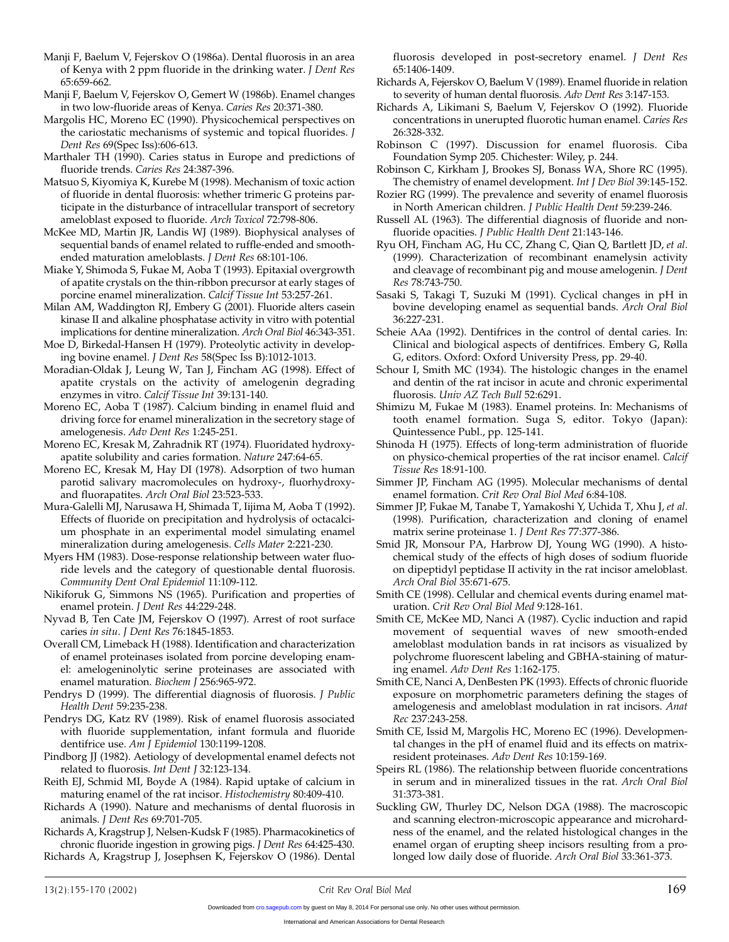- Manji F, Baelum V, Fejerskov O (1986a). Dental fluorosis in an area of Kenya with 2 ppm fluoride in the drinking water. *J Dent Res* 65:659-662.
- Manji F, Baelum V, Fejerskov O, Gemert W (1986b). Enamel changes in two low-fluoride areas of Kenya. *Caries Res* 20:371-380.
- Margolis HC, Moreno EC (1990). Physicochemical perspectives on the cariostatic mechanisms of systemic and topical fluorides. *J Dent Res* 69(Spec Iss):606-613.
- Marthaler TH (1990). Caries status in Europe and predictions of fluoride trends. *Caries Res* 24:387-396.
- Matsuo S, Kiyomiya K, Kurebe M (1998). Mechanism of toxic action of fluoride in dental fluorosis: whether trimeric G proteins participate in the disturbance of intracellular transport of secretory ameloblast exposed to fluoride. *Arch Toxicol* 72:798-806.
- McKee MD, Martin JR, Landis WJ (1989). Biophysical analyses of sequential bands of enamel related to ruffle-ended and smoothended maturation ameloblasts. *J Dent Res* 68:101-106.
- Miake Y, Shimoda S, Fukae M, Aoba T (1993). Epitaxial overgrowth of apatite crystals on the thin-ribbon precursor at early stages of porcine enamel mineralization. *Calcif Tissue Int* 53:257-261.
- Milan AM, Waddington RJ, Embery G (2001). Fluoride alters casein kinase II and alkaline phosphatase activity in vitro with potential implications for dentine mineralization. *Arch Oral Biol* 46:343-351.
- Moe D, Birkedal-Hansen H (1979). Proteolytic activity in developing bovine enamel. *J Dent Res* 58(Spec Iss B):1012-1013.
- Moradian-Oldak J, Leung W, Tan J, Fincham AG (1998). Effect of apatite crystals on the activity of amelogenin degrading enzymes in vitro. *Calcif Tissue Int* 39:131-140.
- Moreno EC, Aoba T (1987). Calcium binding in enamel fluid and driving force for enamel mineralization in the secretory stage of amelogenesis. *Adv Dent Res* 1:245-251.
- Moreno EC, Kresak M, Zahradnik RT (1974). Fluoridated hydroxyapatite solubility and caries formation. *Nature* 247:64-65.
- Moreno EC, Kresak M, Hay DI (1978). Adsorption of two human parotid salivary macromolecules on hydroxy-, fluorhydroxyand fluorapatites. *Arch Oral Biol* 23:523-533.
- Mura-Galelli MJ, Narusawa H, Shimada T, Iijima M, Aoba T (1992). Effects of fluoride on precipitation and hydrolysis of octacalcium phosphate in an experimental model simulating enamel mineralization during amelogenesis. *Cells Mater* 2:221-230.
- Myers HM (1983). Dose-response relationship between water fluoride levels and the category of questionable dental fluorosis. *Community Dent Oral Epidemiol* 11:109-112.
- Nikiforuk G, Simmons NS (1965). Purification and properties of enamel protein. *J Dent Res* 44:229-248.
- Nyvad B, Ten Cate JM, Fejerskov O (1997). Arrest of root surface caries *in situ*. *J Dent Res* 76:1845-1853.
- Overall CM, Limeback H (1988). Identification and characterization of enamel proteinases isolated from porcine developing enamel: amelogeninolytic serine proteinases are associated with enamel maturation. *Biochem J* 256:965-972.
- Pendrys D (1999). The differential diagnosis of fluorosis. *J Public Health Dent* 59:235-238.
- Pendrys DG, Katz RV (1989). Risk of enamel fluorosis associated with fluoride supplementation, infant formula and fluoride dentifrice use. *Am J Epidemiol* 130:1199-1208.
- Pindborg JJ (1982). Aetiology of developmental enamel defects not related to fluorosis. *Int Dent J* 32:123-134.
- Reith EJ, Schmid MI, Boyde A (1984). Rapid uptake of calcium in maturing enamel of the rat incisor. *Histochemistry* 80:409-410.
- Richards A (1990). Nature and mechanisms of dental fluorosis in animals. *J Dent Res* 69:701-705.

Richards A, Kragstrup J, Nelsen-Kudsk F (1985). Pharmacokinetics of chronic fluoride ingestion in growing pigs. *J Dent Res* 64:425-430. Richards A, Kragstrup J, Josephsen K, Fejerskov O (1986). Dental fluorosis developed in post-secretory enamel. *J Dent Res* 65:1406-1409.

- Richards A, Fejerskov O, Baelum V (1989). Enamel fluoride in relation to severity of human dental fluorosis. *Adv Dent Res* 3:147-153.
- Richards A, Likimani S, Baelum V, Fejerskov O (1992). Fluoride concentrations in unerupted fluorotic human enamel. *Caries Res* 26:328-332.
- Robinson C (1997). Discussion for enamel fluorosis. Ciba Foundation Symp 205. Chichester: Wiley, p. 244.
- Robinson C, Kirkham J, Brookes SJ, Bonass WA, Shore RC (1995). The chemistry of enamel development. *Int J Dev Biol* 39:145-152.
- Rozier RG (1999). The prevalence and severity of enamel fluorosis in North American children. *J Public Health Dent* 59:239-246.
- Russell AL (1963). The differential diagnosis of fluoride and nonfluoride opacities. *J Public Health Dent* 21:143-146.
- Ryu OH, Fincham AG, Hu CC, Zhang C, Qian Q, Bartlett JD, *et al*. (1999). Characterization of recombinant enamelysin activity and cleavage of recombinant pig and mouse amelogenin. *J Dent Res* 78:743-750.
- Sasaki S, Takagi T, Suzuki M (1991). Cyclical changes in pH in bovine developing enamel as sequential bands. *Arch Oral Biol* 36:227-231.
- Scheie AAa (1992). Dentifrices in the control of dental caries. In: Clinical and biological aspects of dentifrices. Embery G, Rølla G, editors. Oxford: Oxford University Press, pp. 29-40.
- Schour I, Smith MC (1934). The histologic changes in the enamel and dentin of the rat incisor in acute and chronic experimental fluorosis. *Univ AZ Tech Bull* 52:6291.
- Shimizu M, Fukae M (1983). Enamel proteins. In: Mechanisms of tooth enamel formation. Suga S, editor. Tokyo (Japan): Quintessence Publ., pp. 125-141.
- Shinoda H (1975). Effects of long-term administration of fluoride on physico-chemical properties of the rat incisor enamel. *Calcif Tissue Res* 18:91-100.
- Simmer JP, Fincham AG (1995). Molecular mechanisms of dental enamel formation. *Crit Rev Oral Biol Med* 6:84-108.
- Simmer JP, Fukae M, Tanabe T, Yamakoshi Y, Uchida T, Xhu J, *et al*. (1998). Purification, characterization and cloning of enamel matrix serine proteinase 1. *J Dent Res* 77:377-386.
- Smid JR, Monsour PA, Harbrow DJ, Young WG (1990). A histochemical study of the effects of high doses of sodium fluoride on dipeptidyl peptidase II activity in the rat incisor ameloblast. *Arch Oral Biol* 35:671-675.
- Smith CE (1998). Cellular and chemical events during enamel maturation. *Crit Rev Oral Biol Med* 9:128-161.
- Smith CE, McKee MD, Nanci A (1987). Cyclic induction and rapid movement of sequential waves of new smooth-ended ameloblast modulation bands in rat incisors as visualized by polychrome fluorescent labeling and GBHA-staining of maturing enamel. *Adv Dent Res* 1:162-175.
- Smith CE, Nanci A, DenBesten PK (1993). Effects of chronic fluoride exposure on morphometric parameters defining the stages of amelogenesis and ameloblast modulation in rat incisors. *Anat Rec* 237:243-258.
- Smith CE, Issid M, Margolis HC, Moreno EC (1996). Developmental changes in the pH of enamel fluid and its effects on matrixresident proteinases. *Adv Dent Res* 10:159-169.
- Speirs RL (1986). The relationship between fluoride concentrations in serum and in mineralized tissues in the rat. *Arch Oral Biol* 31:373-381.
- Suckling GW, Thurley DC, Nelson DGA (1988). The macroscopic and scanning electron-microscopic appearance and microhardness of the enamel, and the related histological changes in the enamel organ of erupting sheep incisors resulting from a prolonged low daily dose of fluoride. *Arch Oral Biol* 33:361-373.